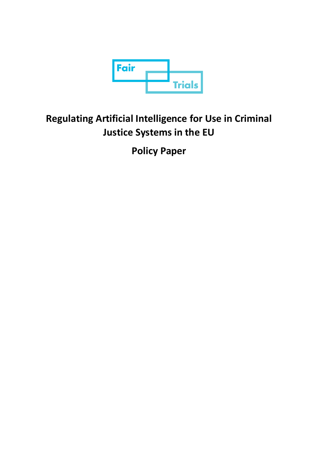

# **Regulating Artificial Intelligence for Use in Criminal Justice Systems in the EU**

**Policy Paper**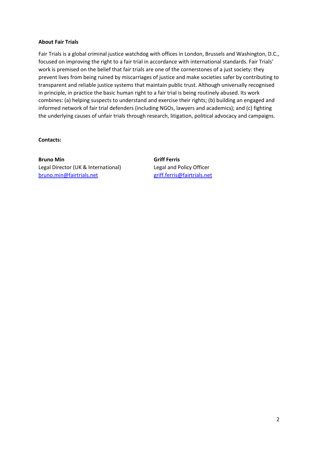# **About Fair Trials**

Fair Trials is a global criminal justice watchdog with offices in London, Brussels and Washington, D.C., focused on improving the right to a fair trial in accordance with international standards. Fair Trials' work is premised on the belief that fair trials are one of the cornerstones of a just society: they prevent lives from being ruined by miscarriages of justice and make societies safer by contributing to transparent and reliable justice systems that maintain public trust. Although universally recognised in principle, in practice the basic human right to a fair trial is being routinely abused. Its work combines: (a) helping suspects to understand and exercise their rights; (b) building an engaged and informed network of fair trial defenders (including NGOs, lawyers and academics); and (c) fighting the underlying causes of unfair trials through research, litigation, political advocacy and campaigns.

## **Contacts:**

**Bruno Min** Griff Ferris Legal Director (UK & International) Legal and Policy Officer [bruno.min@fairtrials.net](mailto:bruno.min@fairtrials.net) [griff.ferris@fairtrials.net](mailto:griff.ferris@fairtrials.net)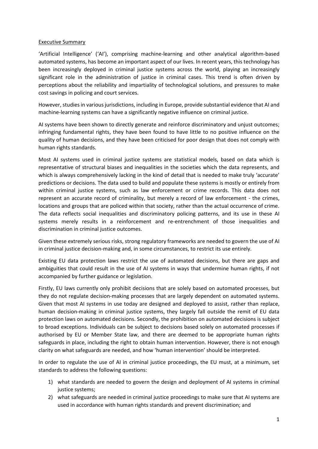## Executive Summary

'Artificial Intelligence' ('AI'), comprising machine-learning and other analytical algorithm-based automated systems, has become an important aspect of our lives. In recent years, this technology has been increasingly deployed in criminal justice systems across the world, playing an increasingly significant role in the administration of justice in criminal cases. This trend is often driven by perceptions about the reliability and impartiality of technological solutions, and pressures to make cost savings in policing and court services.

However, studies in various jurisdictions, including in Europe, provide substantial evidence that AI and machine-learning systems can have a significantly negative influence on criminal justice.

AI systems have been shown to directly generate and reinforce discriminatory and unjust outcomes; infringing fundamental rights, they have been found to have little to no positive influence on the quality of human decisions, and they have been criticised for poor design that does not comply with human rights standards.

Most AI systems used in criminal justice systems are statistical models, based on data which is representative of structural biases and inequalities in the societies which the data represents, and which is always comprehensively lacking in the kind of detail that is needed to make truly 'accurate' predictions or decisions. The data used to build and populate these systems is mostly or entirely from within criminal justice systems, such as law enforcement or crime records. This data does not represent an accurate record of criminality, but merely a record of law enforcement - the crimes, locations and groups that are policed within that society, rather than the actual occurrence of crime. The data reflects social inequalities and discriminatory policing patterns, and its use in these AI systems merely results in a reinforcement and re-entrenchment of those inequalities and discrimination in criminal justice outcomes.

Given these extremely serious risks, strong regulatory frameworks are needed to govern the use of AI in criminal justice decision-making and, in some circumstances, to restrict its use entirely.

Existing EU data protection laws restrict the use of automated decisions, but there are gaps and ambiguities that could result in the use of AI systems in ways that undermine human rights, if not accompanied by further guidance or legislation.

Firstly, EU laws currently only prohibit decisions that are solely based on automated processes, but they do not regulate decision-making processes that are largely dependent on automated systems. Given that most AI systems in use today are designed and deployed to assist, rather than replace, human decision-making in criminal justice systems, they largely fall outside the remit of EU data protection laws on automated decisions. Secondly, the prohibition on automated decisions is subject to broad exceptions. Individuals can be subject to decisions based solely on automated processes if authorised by EU or Member State law, and there are deemed to be appropriate human rights safeguards in place, including the right to obtain human intervention. However, there is not enough clarity on what safeguards are needed, and how 'human intervention' should be interpreted.

In order to regulate the use of AI in criminal justice proceedings, the EU must, at a minimum, set standards to address the following questions:

- 1) what standards are needed to govern the design and deployment of AI systems in criminal justice systems;
- 2) what safeguards are needed in criminal justice proceedings to make sure that AI systems are used in accordance with human rights standards and prevent discrimination; and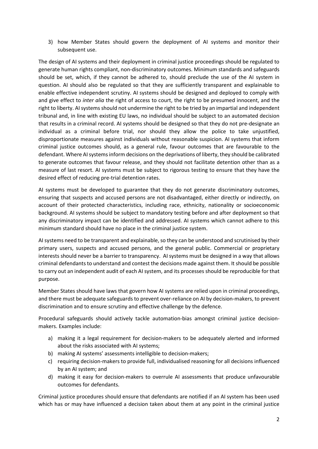3) how Member States should govern the deployment of AI systems and monitor their subsequent use.

The design of AI systems and their deployment in criminal justice proceedings should be regulated to generate human rights compliant, non-discriminatory outcomes. Minimum standards and safeguards should be set, which, if they cannot be adhered to, should preclude the use of the AI system in question. AI should also be regulated so that they are sufficiently transparent and explainable to enable effective independent scrutiny. AI systems should be designed and deployed to comply with and give effect to *inter alia* the right of access to court, the right to be presumed innocent, and the right to liberty. AI systems should not undermine the right to be tried by an impartial and independent tribunal and, in line with existing EU laws, no individual should be subject to an automated decision that results in a criminal record. AI systems should be designed so that they do not pre-designate an individual as a criminal before trial, nor should they allow the police to take unjustified, disproportionate measures against individuals without reasonable suspicion. AI systems that inform criminal justice outcomes should, as a general rule, favour outcomes that are favourable to the defendant. Where AI systems inform decisions on the deprivations of liberty, they should be calibrated to generate outcomes that favour release, and they should not facilitate detention other than as a measure of last resort. AI systems must be subject to rigorous testing to ensure that they have the desired effect of reducing pre-trial detention rates.

AI systems must be developed to guarantee that they do not generate discriminatory outcomes, ensuring that suspects and accused persons are not disadvantaged, either directly or indirectly, on account of their protected characteristics, including race, ethnicity, nationality or socioeconomic background. AI systems should be subject to mandatory testing before and after deployment so that any discriminatory impact can be identified and addressed. AI systems which cannot adhere to this minimum standard should have no place in the criminal justice system.

AI systems need to be transparent and explainable, so they can be understood and scrutinised by their primary users, suspects and accused persons, and the general public. Commercial or proprietary interests should never be a barrier to transparency. AI systems must be designed in a way that allows criminal defendants to understand and contest the decisions made against them. It should be possible to carry out an independent audit of each AI system, and its processes should be reproducible for that purpose.

Member States should have laws that govern how AI systems are relied upon in criminal proceedings, and there must be adequate safeguards to prevent over-reliance on AI by decision-makers, to prevent discrimination and to ensure scrutiny and effective challenge by the defence.

Procedural safeguards should actively tackle automation-bias amongst criminal justice decisionmakers. Examples include:

- a) making it a legal requirement for decision-makers to be adequately alerted and informed about the risks associated with AI systems;
- b) making AI systems' assessments intelligible to decision-makers;
- c) requiring decision-makers to provide full, individualised reasoning for all decisions influenced by an AI system; and
- d) making it easy for decision-makers to overrule AI assessments that produce unfavourable outcomes for defendants.

Criminal justice procedures should ensure that defendants are notified if an AI system has been used which has or may have influenced a decision taken about them at any point in the criminal justice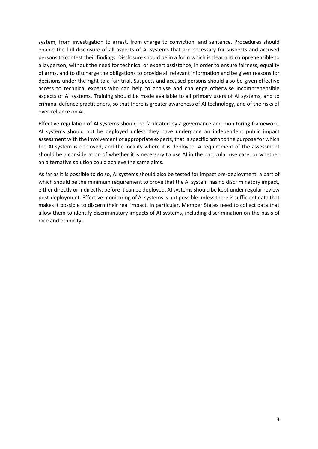system, from investigation to arrest, from charge to conviction, and sentence. Procedures should enable the full disclosure of all aspects of AI systems that are necessary for suspects and accused persons to contest their findings. Disclosure should be in a form which is clear and comprehensible to a layperson, without the need for technical or expert assistance, in order to ensure fairness, equality of arms, and to discharge the obligations to provide all relevant information and be given reasons for decisions under the right to a fair trial. Suspects and accused persons should also be given effective access to technical experts who can help to analyse and challenge otherwise incomprehensible aspects of AI systems. Training should be made available to all primary users of AI systems, and to criminal defence practitioners, so that there is greater awareness of AI technology, and of the risks of over-reliance on AI.

Effective regulation of AI systems should be facilitated by a governance and monitoring framework. AI systems should not be deployed unless they have undergone an independent public impact assessment with the involvement of appropriate experts, that is specific both to the purpose for which the AI system is deployed, and the locality where it is deployed. A requirement of the assessment should be a consideration of whether it is necessary to use AI in the particular use case, or whether an alternative solution could achieve the same aims.

As far as it is possible to do so, AI systems should also be tested for impact pre-deployment, a part of which should be the minimum requirement to prove that the AI system has no discriminatory impact, either directly or indirectly, before it can be deployed. AI systems should be kept under regular review post-deployment. Effective monitoring of AI systems is not possible unless there is sufficient data that makes it possible to discern their real impact. In particular, Member States need to collect data that allow them to identify discriminatory impacts of AI systems, including discrimination on the basis of race and ethnicity.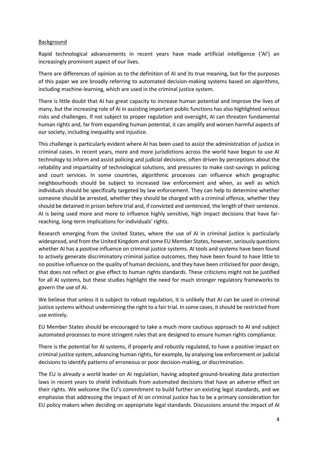## Background

Rapid technological advancements in recent years have made artificial intelligence ('AI') an increasingly prominent aspect of our lives.

There are differences of opinion as to the definition of AI and its true meaning, but for the purposes of this paper we are broadly referring to automated decision-making systems based on algorithms, including machine-learning, which are used in the criminal justice system.

There is little doubt that AI has great capacity to increase human potential and improve the lives of many, but the increasing role of AI in assisting important public functions has also highlighted serious risks and challenges. If not subject to proper regulation and oversight, AI can threaten fundamental human rights and, far from expanding human potential, it can amplify and worsen harmful aspects of our society, including inequality and injustice.

This challenge is particularly evident where AI has been used to assist the administration of justice in criminal cases. In recent years, more and more jurisdictions across the world have begun to use AI technology to inform and assist policing and judicial decisions, often driven by perceptions about the reliability and impartiality of technological solutions, and pressures to make cost-savings in policing and court services. In some countries, algorithmic processes can influence which geographic neighbourhoods should be subject to increased law enforcement and when, as well as which individuals should be specifically targeted by law enforcement. They can help to determine whether someone should be arrested, whether they should be charged with a criminal offence, whether they should be detained in prison before trial and, if convicted and sentenced, the length of their sentence. AI is being used more and more to influence highly sensitive, high impact decisions that have farreaching, long-term implications for individuals' rights.

Research emerging from the United States, where the use of AI in criminal justice is particularly widespread, and from the United Kingdom and some EU Member States, however, seriously questions whether AI has a positive influence on criminal justice systems. AI tools and systems have been found to actively generate discriminatory criminal justice outcomes, they have been found to have little to no positive influence on the quality of human decisions, and they have been criticised for poor design, that does not reflect or give effect to human rights standards. These criticisms might not be justified for all AI systems, but these studies highlight the need for much stronger regulatory frameworks to govern the use of AI.

We believe that unless it is subject to robust regulation, it is unlikely that AI can be used in criminal justice systems without undermining the right to a fair trial. In some cases, it should be restricted from use entirely.

EU Member States should be encouraged to take a much more cautious approach to AI and subject automated processes to more stringent rules that are designed to ensure human rights compliance.

There is the potential for AI systems, if properly and robustly regulated, to have a positive impact on criminal justice system, advancing human rights, for example, by analysing law enforcement or judicial decisions to identify patterns of erroneous or poor decision-making, or discrimination.

The EU is already a world leader on AI regulation, having adopted ground-breaking data protection laws in recent years to shield individuals from automated decisions that have an adverse effect on their rights. We welcome the EU's commitment to build further on existing legal standards, and we emphasise that addressing the impact of AI on criminal justice has to be a primary consideration for EU policy makers when deciding on appropriate legal standards. Discussions around the impact of AI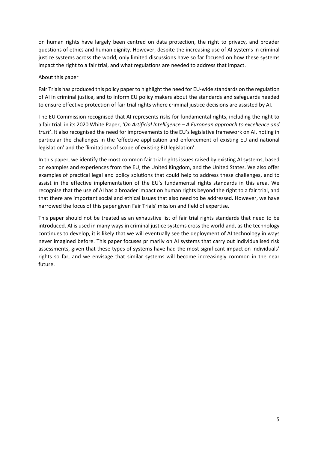on human rights have largely been centred on data protection, the right to privacy, and broader questions of ethics and human dignity. However, despite the increasing use of AI systems in criminal justice systems across the world, only limited discussions have so far focused on how these systems impact the right to a fair trial, and what regulations are needed to address that impact.

# About this paper

Fair Trials has produced this policy paper to highlight the need for EU-wide standards on the regulation of AI in criminal justice, and to inform EU policy makers about the standards and safeguards needed to ensure effective protection of fair trial rights where criminal justice decisions are assisted by AI.

The EU Commission recognised that AI represents risks for fundamental rights, including the right to a fair trial, in its 2020 White Paper, *'On Artificial Intelligence – A European approach to excellence and trust*'. It also recognised the need for improvements to the EU's legislative framework on AI, noting in particular the challenges in the 'effective application and enforcement of existing EU and national legislation' and the 'limitations of scope of existing EU legislation'.

In this paper, we identify the most common fair trial rights issues raised by existing AI systems, based on examples and experiences from the EU, the United Kingdom, and the United States. We also offer examples of practical legal and policy solutions that could help to address these challenges, and to assist in the effective implementation of the EU's fundamental rights standards in this area. We recognise that the use of AI has a broader impact on human rights beyond the right to a fair trial, and that there are important social and ethical issues that also need to be addressed. However, we have narrowed the focus of this paper given Fair Trials' mission and field of expertise.

This paper should not be treated as an exhaustive list of fair trial rights standards that need to be introduced. AI is used in many ways in criminal justice systems cross the world and, as the technology continues to develop, it is likely that we will eventually see the deployment of AI technology in ways never imagined before. This paper focuses primarily on AI systems that carry out individualised risk assessments, given that these types of systems have had the most significant impact on individuals' rights so far, and we envisage that similar systems will become increasingly common in the near future.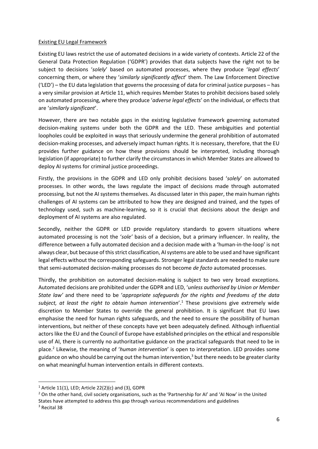## Existing EU Legal Framework

Existing EU laws restrict the use of automated decisions in a wide variety of contexts. Article 22 of the General Data Protection Regulation ('GDPR') provides that data subjects have the right not to be subject to decisions '*solely*' based on automated processes, where they produce '*legal effects*' concerning them, or where they '*similarly significantly affect*' them. The Law Enforcement Directive ('LED') – the EU data legislation that governs the processing of data for criminal justice purposes – has a very similar provision at Article 11, which requires Member States to prohibit decisions based solely on automated processing, where they produce '*adverse legal effects*' on the individual, or effects that are '*similarly significant*'.

However, there are two notable gaps in the existing legislative framework governing automated decision-making systems under both the GDPR and the LED. These ambiguities and potential loopholes could be exploited in ways that seriously undermine the general prohibition of automated decision-making processes, and adversely impact human rights. It is necessary, therefore, that the EU provides further guidance on how these provisions should be interpreted, including thorough legislation (if appropriate) to further clarify the circumstances in which Member States are allowed to deploy AI systems for criminal justice proceedings.

Firstly, the provisions in the GDPR and LED only prohibit decisions based '*solely*' on automated processes. In other words, the laws regulate the impact of decisions made through automated processing, but not the AI systems themselves. As discussed later in this paper, the main human rights challenges of AI systems can be attributed to how they are designed and trained, and the types of technology used, such as machine-learning, so it is crucial that decisions about the design and deployment of AI systems are also regulated.

Secondly, neither the GDPR or LED provide regulatory standards to govern situations where automated processing is not the '*sole'* basis of a decision, but a primary influencer. In reality, the difference between a fully automated decision and a decision made with a 'human-in-the-loop' is not always clear, but because of this strict classification, AI systems are able to be used and have significant legal effects without the corresponding safeguards. Stronger legal standards are needed to make sure that semi-automated decision-making processes do not become *de facto* automated processes.

Thirdly, the prohibition on automated decision-making is subject to two very broad exceptions. Automated decisions are prohibited under the GDPR and LED, '*unless authorised by Union or Member State law'* and there need to be '*appropriate safeguards for the rights and freedoms of the data subject, at least the right to obtain human intervention*'.<sup>1</sup> These provisions give extremely wide discretion to Member States to override the general prohibition. It is significant that EU laws emphasise the need for human rights safeguards, and the need to ensure the possibility of human interventions, but neither of these concepts have yet been adequately defined. Although influential actors like the EU and the Council of Europe have established principles on the ethical and responsible use of AI, there is currently no authoritative guidance on the practical safeguards that need to be in place.<sup>2</sup> Likewise, the meaning of '*human intervention*' is open to interpretation. LED provides some guidance on who should be carrying out the human intervention, $3$  but there needs to be greater clarity on what meaningful human intervention entails in different contexts.

 $1$  Article 11(1), LED; Article 22(2)(c) and (3), GDPR

<sup>&</sup>lt;sup>2</sup> On the other hand, civil society organisations, such as the 'Partnership for AI' and 'AI Now' in the United States have attempted to address this gap through various recommendations and guidelines

<sup>3</sup> Recital 38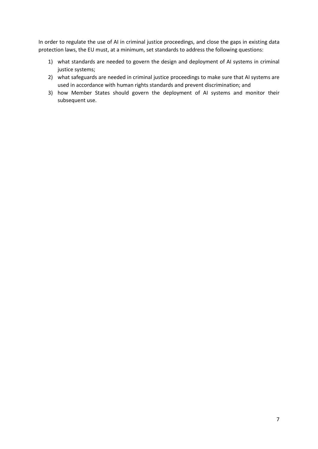In order to regulate the use of AI in criminal justice proceedings, and close the gaps in existing data protection laws, the EU must, at a minimum, set standards to address the following questions:

- 1) what standards are needed to govern the design and deployment of AI systems in criminal justice systems;
- 2) what safeguards are needed in criminal justice proceedings to make sure that AI systems are used in accordance with human rights standards and prevent discrimination; and
- 3) how Member States should govern the deployment of AI systems and monitor their subsequent use.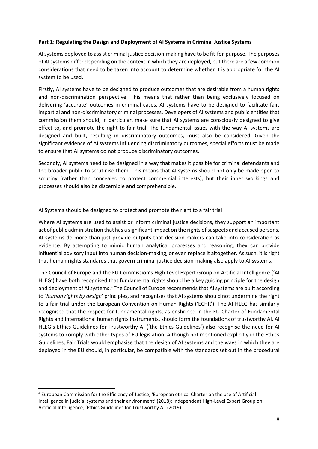## **Part 1: Regulating the Design and Deployment of AI Systems in Criminal Justice Systems**

AI systems deployed to assist criminal justice decision-making have to be fit-for-purpose. The purposes of AI systems differ depending on the context in which they are deployed, but there are a few common considerations that need to be taken into account to determine whether it is appropriate for the AI system to be used.

Firstly, AI systems have to be designed to produce outcomes that are desirable from a human rights and non-discrimination perspective. This means that rather than being exclusively focused on delivering 'accurate' outcomes in criminal cases, AI systems have to be designed to facilitate fair, impartial and non-discriminatory criminal processes. Developers of AI systems and public entities that commission them should, in particular, make sure that AI systems are consciously designed to give effect to, and promote the right to fair trial. The fundamental issues with the way AI systems are designed and built, resulting in discriminatory outcomes, must also be considered. Given the significant evidence of AI systems influencing discriminatory outcomes, special efforts must be made to ensure that AI systems do not produce discriminatory outcomes.

Secondly, AI systems need to be designed in a way that makes it possible for criminal defendants and the broader public to scrutinise them. This means that AI systems should not only be made open to scrutiny (rather than concealed to protect commercial interests), but their inner workings and processes should also be discernible and comprehensible.

# AI Systems should be designed to protect and promote the right to a fair trial

Where AI systems are used to assist or inform criminal justice decisions, they support an important act of public administration that has a significant impact on the rights of suspects and accused persons. AI systems do more than just provide outputs that decision-makers can take into consideration as evidence. By attempting to mimic human analytical processes and reasoning, they can provide influential advisory input into human decision-making, or even replace it altogether. As such, it is right that human rights standards that govern criminal justice decision-making also apply to AI systems.

The Council of Europe and the EU Commission's High Level Expert Group on Artificial Intelligence ('AI HLEG') have both recognised that fundamental rights should be a key guiding principle for the design and deployment of AI systems.<sup>4</sup> The Council of Europe recommends that AI systems are built according to '*human rights by design*' principles, and recognises that AI systems should not undermine the right to a fair trial under the European Convention on Human Rights ('ECHR'). The AI HLEG has similarly recognised that the respect for fundamental rights, as enshrined in the EU Charter of Fundamental Rights and international human rights instruments, should form the foundations of trustworthy AI. AI HLEG's Ethics Guidelines for Trustworthy AI ('the Ethics Guidelines') also recognise the need for AI systems to comply with other types of EU legislation. Although not mentioned explicitly in the Ethics Guidelines, Fair Trials would emphasise that the design of AI systems and the ways in which they are deployed in the EU should, in particular, be compatible with the standards set out in the procedural

<sup>4</sup> European Commission for the Efficiency of Justice, 'European ethical Charter on the use of Artificial Intelligence in judicial systems and their environment' (2018); Independent High-Level Expert Group on Artificial Intelligence, 'Ethics Guidelines for Trustworthy AI' (2019)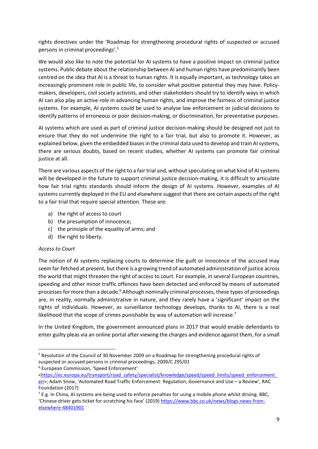rights directives under the 'Roadmap for strengthening procedural rights of suspected or accused persons in criminal proceedings'.<sup>5</sup>

We would also like to note the potential for AI systems to have a positive impact on criminal justice systems. Public debate about the relationship between AI and human rights have predominantly been centred on the idea that AI is a threat to human rights. It is equally important, as technology takes an increasingly prominent role in public life, to consider what positive potential they may have. Policymakers, developers, civil society activists, and other stakeholders should try to identify ways in which AI can also play an active role in advancing human rights, and improve the fairness of criminal justice systems. For example, AI systems could be used to analyse law enforcement or judicial decisions to identify patterns of erroneous or poor decision-making, or discrimination, for preventative purposes.

AI systems which are used as part of criminal justice decision-making should be designed not just to ensure that they do not undermine the right to a fair trial, but also to promote it. However, as explained below, given the embedded biases in the criminal data used to develop and train AI systems, there are serious doubts, based on recent studies, whether AI systems can promote fair criminal justice at all.

There are various aspects of the right to a fair trial and, without speculating on what kind of AI systems will be developed in the future to support criminal justice decision-making, it is difficult to articulate how fair trial rights standards should inform the design of AI systems. However, examples of AI systems currently deployed in the EU and elsewhere suggest that there are certain aspects of the right to a fair trial that require special attention. These are:

- a) the right of access to court
- b) the presumption of innocence;
- c) the principle of the equality of arms; and
- d) the right to liberty.

# *Access to Court*

The notion of AI systems replacing courts to determine the guilt or innocence of the accused may seem far-fetched at present, but there is a growing trend of automated administration of justice across the world that might threaten the right of access to court. For example, in several European countries, speeding and other minor traffic offences have been detected and enforced by means of automated processes for more than a decade.<sup>6</sup> Although nominally criminal processes, these types of proceedings are, in reality, normally administrative in nature, and they rarely have a 'significant' impact on the rights of individuals. However, as surveillance technology develops, thanks to AI, there is a real likelihood that the scope of crimes punishable by way of automation will increase.<sup>7</sup>

In the United Kingdom, the government announced plans in 2017 that would enable defendants to enter guilty pleas via an online portal after viewing the charges and evidence against them, for a small

<sup>&</sup>lt;sup>5</sup> Resolution of the Council of 30 November 2009 on a Roadmap for strengthening procedural rights of suspected or accused persons in criminal proceedings, 2009/C 295/01

<sup>6</sup> European Commission, 'Speed Enforcement'

[<sup>&</sup>lt;https://ec.europa.eu/transport/road\\_safety/specialist/knowledge/speed/speed\\_limits/speed\\_enforcement\\_](https://ec.europa.eu/transport/road_safety/specialist/knowledge/speed/speed_limits/speed_enforcement_en) [en>](https://ec.europa.eu/transport/road_safety/specialist/knowledge/speed/speed_limits/speed_enforcement_en); Adam Snow, 'Automated Road Traffic Enforcement: Regulation, Governance and Use – a Review', RAC Foundation (2017)

 $7$  E.g. In China, AI systems are being used to enforce penalties for using a mobile phone whilst driving. BBC, 'Chinese driver gets ticket for scratching his face' (2019) [https://www.bbc.co.uk/news/blogs-news-from](https://www.bbc.co.uk/news/blogs-news-from-elsewhere-48401901)[elsewhere-48401901](https://www.bbc.co.uk/news/blogs-news-from-elsewhere-48401901)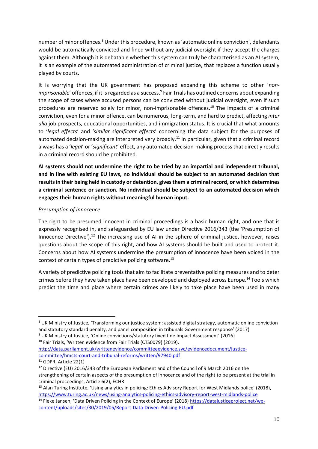number of minor offences.<sup>8</sup> Under this procedure, known as 'automatic online conviction', defendants would be automatically convicted and fined without any judicial oversight if they accept the charges against them. Although it is debatable whether this system can truly be characterised as an AI system, it is an example of the automated administration of criminal justice, that replaces a function usually played by courts.

It is worrying that the UK government has proposed expanding this scheme to other '*non*imprisonable' offences, if it is regarded as a success.<sup>9</sup> Fair Trials has outlined concerns about expanding the scope of cases where accused persons can be convicted without judicial oversight, even if such procedures are reserved solely for minor, non-imprisonable offences.<sup>10</sup> The impacts of a criminal conviction, even for a minor offence, can be numerous, long-term, and hard to predict, affecting *inter alia* job prospects, educational opportunities, and immigration status. It is crucial that what amounts to '*legal effects*' and '*similar significant effects*' concerning the data subject for the purposes of automated decision-making are interpreted very broadly.<sup>11</sup> In particular, given that a criminal record always has a '*legal*' or '*significant*' effect, any automated decision-making process that directly results in a criminal record should be prohibited.

**AI systems should not undermine the right to be tried by an impartial and independent tribunal, and in line with existing EU laws, no individual should be subject to an automated decision that resultsin their being held in custody or detention, gives them a criminal record, or which determines a criminal sentence or sanction. No individual should be subject to an automated decision which engages their human rights without meaningful human input.**

# *Presumption of Innocence*

The right to be presumed innocent in criminal proceedings is a basic human right, and one that is expressly recognised in, and safeguarded by EU law under Directive 2016/343 (the 'Presumption of Innocence Directive').<sup>12</sup> The increasing use of AI in the sphere of criminal justice, however, raises questions about the scope of this right, and how AI systems should be built and used to protect it. Concerns about how AI systems undermine the presumption of innocence have been voiced in the context of certain types of predictive policing software.<sup>13</sup>

A variety of predictive policing tools that aim to facilitate preventative policing measures and to deter crimes before they have taken place have been developed and deployed across Europe.<sup>14</sup> Tools which predict the time and place where certain crimes are likely to take place have been used in many

<sup>10</sup> Fair Trials, 'Written evidence from Fair Trials (CTS0079) (2019), [http://data.parliament.uk/writtenevidence/committeeevidence.svc/evidencedocument/justice](http://data.parliament.uk/writtenevidence/committeeevidence.svc/evidencedocument/justice-committee/hmcts-court-and-tribunal-reforms/written/97940.pdf)[committee/hmcts-court-and-tribunal-reforms/written/97940.pdf](http://data.parliament.uk/writtenevidence/committeeevidence.svc/evidencedocument/justice-committee/hmcts-court-and-tribunal-reforms/written/97940.pdf)

<sup>&</sup>lt;sup>8</sup> UK Ministry of Justice, 'Transforming our justice system: assisted digital strategy, automatic online conviction and statutory standard penalty, and panel composition in tribunals Government response' (2017) <sup>9</sup> UK Ministry of Justice, 'Online convictions/statutory fixed fine Impact Assessment' (2016)

<sup>11</sup> GDPR, Article 22(1)

<sup>&</sup>lt;sup>12</sup> Directive (EU) 2016/343 of the European Parliament and of the Council of 9 March 2016 on the strengthening of certain aspects of the presumption of innocence and of the right to be present at the trial in criminal proceedings; Article 6(2), ECHR

<sup>&</sup>lt;sup>13</sup> Alan Turing Institute, 'Using analytics in policing: Ethics Advisory Report for West Midlands police' (2018), <https://www.turing.ac.uk/news/using-analytics-policing-ethics-advisory-report-west-midlands-police> <sup>14</sup> Fieke Jansen, 'Data Driven Policing in the Context of Europe' (2018) [https://datajusticeproject.net/wp](https://datajusticeproject.net/wp-content/uploads/sites/30/2019/05/Report-Data-Driven-Policing-EU.pdf)[content/uploads/sites/30/2019/05/Report-Data-Driven-Policing-EU.pdf](https://datajusticeproject.net/wp-content/uploads/sites/30/2019/05/Report-Data-Driven-Policing-EU.pdf)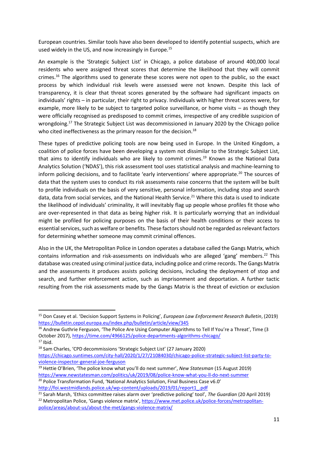European countries. Similar tools have also been developed to identify potential suspects, which are used widely in the US, and now increasingly in Europe.<sup>15</sup>

An example is the 'Strategic Subject List' in Chicago, a police database of around 400,000 local residents who were assigned threat scores that determine the likelihood that they will commit crimes.<sup>16</sup> The algorithms used to generate these scores were not open to the public, so the exact process by which individual risk levels were assessed were not known. Despite this lack of transparency, it is clear that threat scores generated by the software had significant impacts on individuals' rights – in particular, their right to privacy. Individuals with higher threat scores were, for example, more likely to be subject to targeted police surveillance, or home visits – as though they were officially recognised as predisposed to commit crimes, irrespective of any credible suspicion of wrongdoing.<sup>17</sup> The Strategic Subject List was decommissioned in January 2020 by the Chicago police who cited ineffectiveness as the primary reason for the decision.<sup>18</sup>

These types of predictive policing tools are now being used in Europe. In the United Kingdom, a coalition of police forces have been developing a system not dissimilar to the Strategic Subject List, that aims to identify individuals who are likely to commit crimes.<sup>19</sup> Known as the National Data Analytics Solution ('NDAS'), this risk assessment tool uses statistical analysis and machine-learning to inform policing decisions, and to facilitate 'early interventions' where appropriate.<sup>20</sup> The sources of data that the system uses to conduct its risk assessments raise concerns that the system will be built to profile individuals on the basis of very sensitive, personal information, including stop and search data, data from social services, and the National Health Service.<sup>21</sup> Where this data is used to indicate the likelihood of individuals' criminality, it will inevitably flag up people whose profiles fit those who are over-represented in that data as being higher risk. It is particularly worrying that an individual might be profiled for policing purposes on the basis of their health conditions or their access to essential services, such as welfare or benefits. These factors should not be regarded as relevant factors for determining whether someone may commit criminal offences.

Also in the UK, the Metropolitan Police in London operates a database called the Gangs Matrix, which contains information and risk-assessments on individuals who are alleged 'gang' members.<sup>22</sup> This database was created using criminal justice data, including police and crime records. The Gangs Matrix and the assessments it produces assists policing decisions, including the deployment of stop and search, and further enforcement action, such as imprisonment and deportation. A further tactic resulting from the risk assessments made by the Gangs Matrix is the threat of eviction or exclusion

<sup>18</sup> Sam Charles, 'CPD decommissions 'Strategic Subject List' (27 January 2020) [https://chicago.suntimes.com/city-hall/2020/1/27/21084030/chicago-police-strategic-subject-list-party-to](https://chicago.suntimes.com/city-hall/2020/1/27/21084030/chicago-police-strategic-subject-list-party-to-violence-inspector-general-joe-ferguson)[violence-inspector-general-joe-ferguson](https://chicago.suntimes.com/city-hall/2020/1/27/21084030/chicago-police-strategic-subject-list-party-to-violence-inspector-general-joe-ferguson)

[http://foi.westmidlands.police.uk/wp-content/uploads/2019/01/report1\\_.pdf](http://foi.westmidlands.police.uk/wp-content/uploads/2019/01/report1_.pdf)

<sup>15</sup> Don Casey et al. 'Decision Support Systems in Policing', *European Law Enforcement Research Bulletin*, (2019) <https://bulletin.cepol.europa.eu/index.php/bulletin/article/view/345>

<sup>&</sup>lt;sup>16</sup> Andrew Guthrie Ferguson, 'The Police Are Using Computer Algorithms to Tell If You're a Threat', Time (3 October 2017)[, https://time.com/4966125/police-departments-algorithms-chicago/](https://time.com/4966125/police-departments-algorithms-chicago/)

 $17$  Ibid.

<sup>19</sup> Hettie O'Brien, 'The police know what you'll do next summer', *New Statesman* (15 August 2019) <https://www.newstatesman.com/politics/uk/2019/08/police-know-what-you-ll-do-next-summer> <sup>20</sup> Police Transformation Fund, 'National Analytics Solution, Final Business Case v6.0'

<sup>21</sup> Sarah Marsh, 'Ethics committee raises alarm over 'predictive policing' tool', *The Guardian* (20 April 2019) <sup>22</sup> Metropolitan Police, 'Gangs violence matrix', [https://www.met.police.uk/police-forces/metropolitan](https://www.met.police.uk/police-forces/metropolitan-police/areas/about-us/about-the-met/gangs-violence-matrix/)[police/areas/about-us/about-the-met/gangs-violence-matrix/](https://www.met.police.uk/police-forces/metropolitan-police/areas/about-us/about-the-met/gangs-violence-matrix/)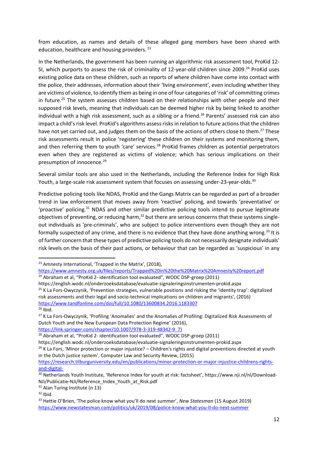from education, as names and details of these alleged gang members have been shared with education, healthcare and housing providers.<sup>23</sup>

In the Netherlands, the government has been running an algorithmic risk assessment tool, ProKid 12- SI, which purports to assess the risk of criminality of 12-year-old children since 2009.<sup>24</sup> ProKid uses existing police data on these children, such as reports of where children have come into contact with the police, their addresses, information about their 'living environment', even including whether they are victims of violence, to identify them as being in one of four categories of 'risk' of committing crimes in future.<sup>25</sup> The system assesses children based on their relationships with other people and their supposed risk levels, meaning that individuals can be deemed higher risk by being linked to another individual with a high risk assessment, such as a sibling or a friend.<sup>26</sup> Parents' assessed risk can also impact a child's risk level. ProKid's algorithms assess risks in relation to future actions that the children have not yet carried out, and judges them on the basis of the actions of others close to them.<sup>27</sup> These risk assessments result in police 'registering' these children on their systems and monitoring them, and then referring them to youth 'care' services.<sup>28</sup> ProKid frames children as potential perpetrators even when they are registered as victims of violence; which has serious implications on their presumption of innocence.<sup>29</sup>

Several similar tools are also used in the Netherlands, including the Reference Index for High Risk Youth, a large-scale risk assessment system that focuses on assessing under-23-year-olds.<sup>30</sup>

Predictive policing tools like NDAS, ProKid and the Gangs Matrix can be regarded as part of a broader trend in law enforcement that moves away from 'reactive' policing, and towards 'preventative' or 'proactive' policing.<sup>31</sup> NDAS and other similar predictive policing tools intend to pursue legitimate objectives of preventing, or reducing harm, $32$  but there are serious concerns that these systems singleout individuals as 'pre-criminals', who are subject to police interventions even though they are not formally suspected of any crime, and there is no evidence that they have done anything wrong.<sup>33</sup> It is of further concern that these types of predictive policing tools do not necessarily designate individuals' risk levels on the basis of their past actions, or behaviour that can be regarded as 'suspicious' in any

<https://www.tandfonline.com/doi/full/10.1080/13600834.2016.1183307>

[https://link.springer.com/chapter/10.1007/978-3-319-48342-9\\_7\)](https://link.springer.com/chapter/10.1007/978-3-319-48342-9_7))

https://english.wodc.nl/onderzoeksdatabase/evaluatie-signaleringsinstrumenten-prokid.aspx

<sup>&</sup>lt;sup>23</sup> Amnesty International, 'Trapped in the Matrix', (2018),

<https://www.amnesty.org.uk/files/reports/Trapped%20in%20the%20Matrix%20Amnesty%20report.pdf> <sup>24</sup> Abraham et al, "ProKid 2- identification tool evaluated", WODC DSP-groep (2011)

https://english.wodc.nl/onderzoeksdatabase/evaluatie-signaleringsinstrumenten-prokid.aspx <sup>25</sup> K La Fors-Owyczynik, 'Prevention strategies, vulnerable positions and risking the 'identity trap': digitalized risk assessments and their legal and socio-technical implications on children and migrants', (2016)

 $26$  Ibid.

<sup>&</sup>lt;sup>27</sup> K La Fors-Owyczynik, 'Profiling 'Anomalies' and the Anomalies of Profiling: Digitalized Risk Assessments of Dutch Youth and the New European Data Protection Regime' (2016),

<sup>&</sup>lt;sup>28</sup> Abraham et al, "ProKid 2- identification tool evaluated", WODC DSP-groep (2011)

 $29$  K La Fors, 'Minor protection or major injustice? – Children's rights and digital preventions directed at youth in the Dutch justice system', Computer Law and Security Review, (2015)

[https://research.tilburguniversity.edu/en/publications/minor-protection-or-major-injustice-childrens-rights](https://research.tilburguniversity.edu/en/publications/minor-protection-or-major-injustice-childrens-rights-and-digital-)[and-digital-](https://research.tilburguniversity.edu/en/publications/minor-protection-or-major-injustice-childrens-rights-and-digital-)

<sup>&</sup>lt;sup>30</sup> Netherlands Youth Institute, 'Reference Index for youth at risk: factsheet', https://www.nji.nl/nl/Download-NJi/Publicatie-NJi/Reference\_Index\_Youth\_at\_Risk.pdf

<sup>&</sup>lt;sup>31</sup> Alan Turing Institute (n 13)

 $32$  Ibid.

<sup>33</sup> Hettie O'Brien, 'The police know what you'll do next summer', *New Statesman* (15 August 2019) <https://www.newstatesman.com/politics/uk/2019/08/police-know-what-you-ll-do-next-summer>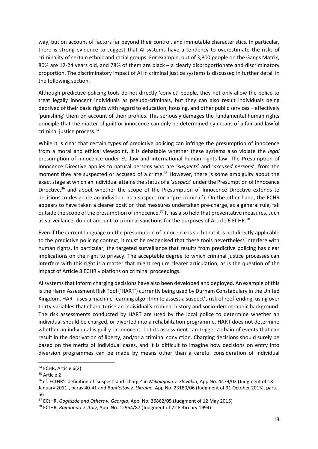way, but on account of factors far beyond their control, and immutable characteristics. In particular, there is strong evidence to suggest that AI systems have a tendency to overestimate the risks of criminality of certain ethnic and racial groups. For example, out of 3,800 people on the Gangs Matrix, 80% are 12-24 years old, and 78% of them are black – a clearly disproportionate and discriminatory proportion. The discriminatory impact of AI in criminal justice systems is discussed in further detail in the following section.

Although predictive policing tools do not directly 'convict' people, they not only allow the police to treat legally innocent individuals as pseudo-criminals, but they can also result individuals being deprived of their basic rights with regard to education, housing, and other public services – effectively 'punishing' them on account of their profiles. This seriously damages the fundamental human rights principle that the matter of guilt or innocence can only be determined by means of a fair and lawful criminal justice process.<sup>34</sup>

While it is clear that certain types of predictive policing can infringe the presumption of innocence from a moral and ethical viewpoint, it is debatable whether these systems also violate the *legal*  presumption of innocence under EU law and international human rights law. The Presumption of Innocence Directive applies to natural persons who are '*suspects*' and '*accused persons*', from the moment they are suspected or accused of a crime.<sup>35</sup> However, there is some ambiguity about the exact stage at which an individual attains the status of a '*suspect*' under the Presumption of Innocence Directive, $36$  and about whether the scope of the Presumption of Innocence Directive extends to decisions to designate an individual as a suspect (or a 'pre-criminal'). On the other hand, the ECHR appears to have taken a clearer position that measures undertaken pre-charge, as a general rule, fall outside the scope of the presumption of innocence.<sup>37</sup> It has also held that preventative measures, such as surveillance, do not amount to criminal sanctions for the purposes of Article 6 ECHR.<sup>38</sup>

Even if the current language on the presumption of innocence is such that it is not directly applicable to the predictive policing context, it must be recognised that these tools nevertheless interfere with human rights. In particular, the targeted surveillance that results from predictive policing has clear implications on the right to privacy. The acceptable degree to which criminal justice processes can interfere with this right is a matter that might require clearer articulation, as is the question of the impact of Article 8 ECHR violations on criminal proceedings.

AI systems that inform charging decisions have also been developed and deployed. An example of this is the Harm Assessment Risk Tool ('HART') currently being used by Durham Constabulary in the United Kingdom. HART uses a machine-learning algorithm to assess a suspect's risk of reoffending, using over thirty variables that characterise an individual's criminal history and socio-demographic background. The risk assessments conducted by HART are used by the local police to determine whether an individual should be charged, or diverted into a rehabilitation programme. HART does not determine whether an individual is guilty or innocent, but its assessment can trigger a chain of events that can result in the deprivation of liberty, and/or a criminal conviction. Charging decisions should surely be based on the merits of individual cases, and it is difficult to imagine how decisions on entry into diversion programmes can be made by means other than a careful consideration of individual

<sup>34</sup> ECHR, Article 6(2)

<sup>&</sup>lt;sup>35</sup> Article 2

<sup>36</sup> cf. ECtHR's definition of 'suspect' and 'charge' in *Mikolajova v. Slovakia*, App No. 4479/02 (Judgment of 18 January 2011), paras 40-41 and *Bandeltov v. Ukraine*, App No. 23180/06 (Judgment of 31 October 2013), para. 56

<sup>37</sup> ECtHR, *Gogitizde and Others v. Georgia*, App. No. 36862/05 (Judgment of 12 May 2015)

<sup>38</sup> ECtHR, *Raimondo v. Italy*, App. No. 12954/87 (Judgment of 22 February 1994)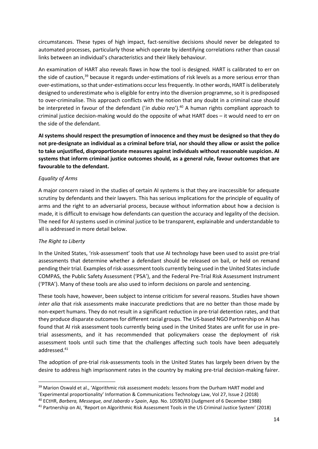circumstances. These types of high impact, fact-sensitive decisions should never be delegated to automated processes, particularly those which operate by identifying correlations rather than causal links between an individual's characteristics and their likely behaviour.

An examination of HART also reveals flaws in how the tool is designed. HART is calibrated to err on the side of caution,<sup>39</sup> because it regards under-estimations of risk levels as a more serious error than over-estimations, so that under-estimations occur less frequently. In other words, HART is deliberately designed to underestimate who is eligible for entry into the diversion programme, so it is predisposed to over-criminalise. This approach conflicts with the notion that any doubt in a criminal case should be interpreted in favour of the defendant (*'in dubio reo'*).<sup>40</sup> A human rights compliant approach to criminal justice decision-making would do the opposite of what HART does – it would need to err on the side of the defendant.

**AI systems should respect the presumption of innocence and they must be designed so that they do not pre-designate an individual as a criminal before trial, nor should they allow or assist the police to take unjustified, disproportionate measures against individuals without reasonable suspicion. AI systems that inform criminal justice outcomes should, as a general rule, favour outcomes that are favourable to the defendant.**

# *Equality of Arms*

A major concern raised in the studies of certain AI systems is that they are inaccessible for adequate scrutiny by defendants and their lawyers. This has serious implications for the principle of equality of arms and the right to an adversarial process, because without information about how a decision is made, it is difficult to envisage how defendants can question the accuracy and legality of the decision. The need for AI systems used in criminal justice to be transparent, explainable and understandable to all is addressed in more detail below.

## *The Right to Liberty*

In the United States, 'risk-assessment' tools that use AI technology have been used to assist pre-trial assessments that determine whether a defendant should be released on bail, or held on remand pending their trial. Examples of risk-assessment tools currently being used in the United States include COMPAS, the Public Safety Assessment ('PSA'), and the Federal Pre-Trial Risk Assessment Instrument ('PTRA'). Many of these tools are also used to inform decisions on parole and sentencing.

These tools have, however, been subject to intense criticism for several reasons. Studies have shown *inter alia* that risk assessments make inaccurate predictions that are no better than those made by non-expert humans. They do not result in a significant reduction in pre-trial detention rates, and that they produce disparate outcomes for different racial groups. The US-based NGO Partnership on AI has found that AI risk assessment tools currently being used in the United States are unfit for use in pretrial assessments, and it has recommended that policymakers cease the deployment of risk assessment tools until such time that the challenges affecting such tools have been adequately addressed.<sup>41</sup>

The adoption of pre-trial risk-assessments tools in the United States has largely been driven by the desire to address high imprisonment rates in the country by making pre-trial decision-making fairer.

<sup>&</sup>lt;sup>39</sup> Marion Oswald et al., 'Algorithmic risk assessment models: lessons from the Durham HART model and 'Experimental proportionality' Information & Communications Technology Law, Vol 27, Issue 2 (2018)

<sup>40</sup> ECtHR, *Barbera, Messegue, and Jabardo v Spain*, App. No. 10590/83 (Judgment of 6 December 1988)

<sup>41</sup> Partnership on AI, 'Report on Algorithmic Risk Assessment Tools in the US Criminal Justice System' (2018)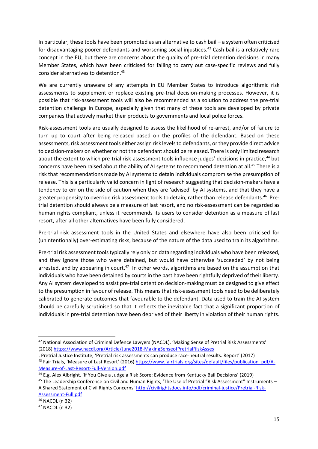In particular, these tools have been promoted as an alternative to cash bail – a system often criticised for disadvantaging poorer defendants and worsening social injustices.<sup>42</sup> Cash bail is a relatively rare concept in the EU, but there are concerns about the quality of pre-trial detention decisions in many Member States, which have been criticised for failing to carry out case-specific reviews and fully consider alternatives to detention.<sup>43</sup>

We are currently unaware of any attempts in EU Member States to introduce algorithmic risk assessments to supplement or replace existing pre-trial decision-making processes. However, it is possible that risk-assessment tools will also be recommended as a solution to address the pre-trial detention challenge in Europe, especially given that many of these tools are developed by private companies that actively market their products to governments and local police forces.

Risk-assessment tools are usually designed to assess the likelihood of re-arrest, and/or of failure to turn up to court after being released based on the profiles of the defendant. Based on these assessments, risk assessment tools either assign risk levels to defendants, or they provide direct advice to decision-makers on whether or not the defendant should be released. There is only limited research about the extent to which pre-trial risk-assessment tools influence judges' decisions in practice,<sup>44</sup> but concerns have been raised about the ability of AI systems to recommend detention at all.<sup>45</sup> There is a risk that recommendations made by AI systems to detain individuals compromise the presumption of release. This is a particularly valid concern in light of research suggesting that decision-makers have a tendency to err on the side of caution when they are 'advised' by AI systems, and that they have a greater propensity to override risk assessment tools to detain, rather than release defendants.<sup>46</sup> Pretrial detention should always be a measure of last resort, and no risk-assessment can be regarded as human rights compliant, unless it recommends its users to consider detention as a measure of last resort, after all other alternatives have been fully considered.

Pre-trial risk assessment tools in the United States and elsewhere have also been criticised for (unintentionally) over-estimating risks, because of the nature of the data used to train its algorithms.

Pre-trial risk assessment tools typically rely only on data regarding individuals who have been released, and they ignore those who were detained, but would have otherwise 'succeeded' by not being arrested, and by appearing in court.<sup>47</sup> In other words, algorithms are based on the assumption that individuals who have been detained by courts in the past have been rightfully deprived of their liberty. Any AI system developed to assist pre-trial detention decision-making must be designed to give effect to the presumption in favour of release. This means that risk-assessment tools need to be deliberately calibrated to generate outcomes that favourable to the defendant. Data used to train the AI system should be carefully scrutinised so that it reflects the inevitable fact that a significant proportion of individuals in pre-trial detention have been deprived of their liberty in violation of their human rights.

[Assessment-Full.pdf](http://civilrightsdocs.info/pdf/criminal-justice/Pretrial-Risk-Assessment-Full.pdf)

<sup>42</sup> National Association of Criminal Defence Lawyers (NACDL), 'Making Sense of Pretrial Risk Assessments' (2018[\) https://www.nacdl.org/Article/June2018-MakingSenseofPretrialRiskAsses](https://www.nacdl.org/Article/June2018-MakingSenseofPretrialRiskAsses)

<sup>;</sup> Pretrial Justice Institute, 'Pretrial risk assessments can produce race-neutral results. Report' (2017) 43 Fair Trials, 'Measure of Last Resort' (2016) [https://www.fairtrials.org/sites/default/files/publication\\_pdf/A-](https://www.fairtrials.org/sites/default/files/publication_pdf/A-Measure-of-Last-Resort-Full-Version.pdf)[Measure-of-Last-Resort-Full-Version.pdf](https://www.fairtrials.org/sites/default/files/publication_pdf/A-Measure-of-Last-Resort-Full-Version.pdf)

<sup>44</sup> E.g. Alex Albright. 'If You Give a Judge a Risk Score: Evidence from Kentucky Bail Decisions' (2019)

<sup>45</sup> The Leadership Conference on Civil and Human Rights, 'The Use of Pretrial "Risk Assessment" Instruments – A Shared Statement of Civil Rights Concerns' [http://civilrightsdocs.info/pdf/criminal-justice/Pretrial-Risk-](http://civilrightsdocs.info/pdf/criminal-justice/Pretrial-Risk-Assessment-Full.pdf)

<sup>46</sup> NACDL (n 32) <sup>47</sup> NACDL (n 32)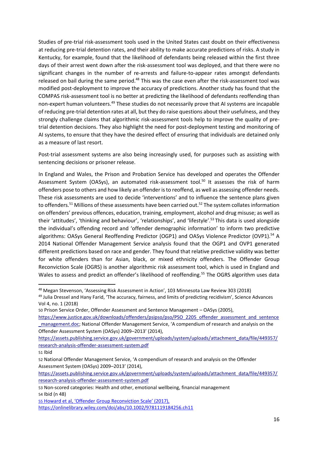Studies of pre-trial risk-assessment tools used in the United States cast doubt on their effectiveness at reducing pre-trial detention rates, and their ability to make accurate predictions of risks. A study in Kentucky, for example, found that the likelihood of defendants being released within the first three days of their arrest went down after the risk-assessment tool was deployed, and that there were no significant changes in the number of re-arrests and failure-to-appear rates amongst defendants released on bail during the same period.<sup>48</sup> This was the case even after the risk-assessment tool was modified post-deployment to improve the accuracy of predictions. Another study has found that the COMPAS risk-assessment tool is no better at predicting the likelihood of defendants reoffending than non-expert human volunteers.<sup>49</sup> These studies do not necessarily prove that AI systems are incapable of reducing pre-trial detention rates at all, but they do raise questions about their usefulness, and they strongly challenge claims that algorithmic risk-assessment tools help to improve the quality of pretrial detention decisions. They also highlight the need for post-deployment testing and monitoring of AI systems, to ensure that they have the desired effect of ensuring that individuals are detained only as a measure of last resort.

Post-trial assessment systems are also being increasingly used, for purposes such as assisting with sentencing decisions or prisoner release.

In England and Wales, the Prison and Probation Service has developed and operates the Offender Assessment System (OASys), an automated risk-assessment tool.<sup>50</sup> It assesses the risk of harm offenders pose to others and how likely an offender is to reoffend, as well as assessing offender needs. These risk assessments are used to decide 'interventions' and to influence the sentence plans given to offenders.<sup>51</sup> Millions of these assessments have been carried out.<sup>52</sup> The system collates information on offenders' previous offences, education, training, employment, alcohol and drug misuse; as well as their 'attitudes', 'thinking and behaviour', 'relationships', and 'lifestyle'. <sup>53</sup> This data is used alongside the individual's offending record and 'offender demographic information' to inform two predictive algorithms: OASys General Reoffending Predictor (OGP1) and OASys Violence Predictor (OVP1).<sup>54</sup> A 2014 National Offender Management Service analysis found that the OGP1 and OVP1 generated different predictions based on race and gender. They found that relative predictive validity was better for white offenders than for Asian, black, or mixed ethnicity offenders. The Offender Group Reconviction Scale (OGRS) is another algorithmic risk assessment tool, which is used in England and Wales to assess and predict an offender's likelihood of reoffending.<sup>55</sup> The OGRS algorithm uses data

50 Prison Service Order, Offender Assessment and Sentence Management – OASys (2005),

<sup>48</sup> Megan Stevenson, 'Assessing Risk Assessment in Action', 103 Minnesota Law Review 303 (2018)

<sup>49</sup> Julia Dressel and Hany Farid, 'The accuracy, fairness, and limits of predicting recidivism', Science Advances Vol 4, no. 1 (2018)

[https://www.justice.gov.uk/downloads/offenders/psipso/pso/PSO\\_2205\\_offender\\_assessment\\_and\\_sentence](https://www.justice.gov.uk/downloads/offenders/psipso/pso/PSO_2205_offender_assessment_and_sentence_management.doc) [\\_management.doc;](https://www.justice.gov.uk/downloads/offenders/psipso/pso/PSO_2205_offender_assessment_and_sentence_management.doc) National Offender Management Service, 'A compendium of research and analysis on the Offender Assessment System (OASys) 2009–2013' (2014),

[https://assets.publishing.service.gov.uk/government/uploads/system/uploads/attachment\\_data/file/449357/](https://assets.publishing.service.gov.uk/government/uploads/system/uploads/attachment_data/file/449357/research-analysis-offender-assessment-system.pdf) [research-analysis-offender-assessment-system.pdf](https://assets.publishing.service.gov.uk/government/uploads/system/uploads/attachment_data/file/449357/research-analysis-offender-assessment-system.pdf)

<sup>51</sup> Ibid

<sup>52</sup> National Offender Management Service, 'A compendium of research and analysis on the Offender Assessment System (OASys) 2009–2013' (2014),

[https://assets.publishing.service.gov.uk/government/uploads/system/uploads/attachment\\_data/file/449357/](https://assets.publishing.service.gov.uk/government/uploads/system/uploads/attachment_data/file/449357/research-analysis-offender-assessment-system.pdf) [research-analysis-offender-assessment-system.pdf](https://assets.publishing.service.gov.uk/government/uploads/system/uploads/attachment_data/file/449357/research-analysis-offender-assessment-system.pdf)

<sup>53</sup> Non-scored categories: Health and other, emotional wellbeing, financial management 54 Ibid (n 48)

<sup>55</sup> [Howard et al, 'Offender Group Reconviction Scale' \(2017\),](file:///C:/Users/bruno.min/AppData/Roaming/Microsoft/Word/Howard%20et%20al,%20)  [https://onlinelibrary.wiley.com/doi/abs/10.1002/9781119184256.ch11](file:///C:/Users/bruno.min/AppData/Roaming/Microsoft/Word/Howard%20et%20al,%20)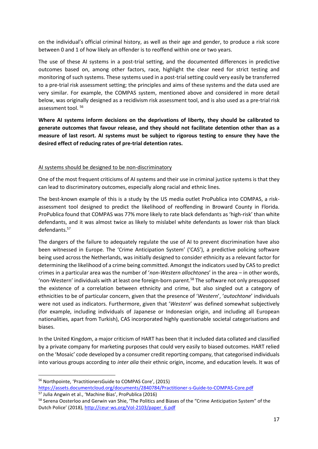on the individual's official criminal history, as well as their age and gender, to produce a risk score between 0 and 1 of how likely an offender is to reoffend within one or two years.

The use of these AI systems in a post-trial setting, and the documented differences in predictive outcomes based on, among other factors, race, highlight the clear need for strict testing and monitoring of such systems. These systems used in a post-trial setting could very easily be transferred to a pre-trial risk assessment setting; the principles and aims of these systems and the data used are very similar. For example, the COMPAS system, mentioned above and considered in more detail below, was originally designed as a recidivism risk assessment tool, and is also used as a pre-trial risk assessment tool. <sup>56</sup>

**Where AI systems inform decisions on the deprivations of liberty, they should be calibrated to generate outcomes that favour release, and they should not facilitate detention other than as a measure of last resort. AI systems must be subject to rigorous testing to ensure they have the desired effect of reducing rates of pre-trial detention rates.**

# AI systems should be designed to be non-discriminatory

One of the most frequent criticisms of AI systems and their use in criminal justice systems is that they can lead to discriminatory outcomes, especially along racial and ethnic lines.

The best-known example of this is a study by the US media outlet ProPublica into COMPAS, a riskassessment tool designed to predict the likelihood of reoffending in Broward County in Florida. ProPublica found that COMPAS was 77% more likely to rate black defendants as 'high-risk' than white defendants, and it was almost twice as likely to mislabel white defendants as lower risk than black defendants.<sup>57</sup>

The dangers of the failure to adequately regulate the use of AI to prevent discrimination have also been witnessed in Europe. The 'Crime Anticipation System' ('CAS'), a predictive policing software being used across the Netherlands, was initially designed to consider ethnicity as a relevant factor for determining the likelihood of a crime being committed. Amongst the indicators used by CAS to predict crimes in a particular area was the number of '*non-Western allochtones*' in the area – in other words, 'non-Western' individuals with at least one foreign-born parent.<sup>58</sup> The software not only presupposed the existence of a correlation between ethnicity and crime, but also singled out a category of ethnicities to be of particular concern, given that the presence of '*Western*', '*autochtone*' individuals were not used as indicators. Furthermore, given that '*Western*' was defined somewhat subjectively (for example, including individuals of Japanese or Indonesian origin, and including all European nationalities, apart from Turkish), CAS incorporated highly questionable societal categorisations and biases.

In the United Kingdom, a major criticism of HART has been that it included data collated and classified by a private company for marketing purposes that could very easily to biased outcomes. HART relied on the 'Mosaic' code developed by a consumer credit reporting company, that categorised individuals into various groups according to *inter alia* their ethnic origin, income, and education levels. It was of

<sup>56</sup> Northpointe, 'PractitionersGuide to COMPAS Core', (2015)

<https://assets.documentcloud.org/documents/2840784/Practitioner-s-Guide-to-COMPAS-Core.pdf> <sup>57</sup> Julia Angwin et al., 'Machine Bias', ProPublica (2016)

<sup>&</sup>lt;sup>58</sup> Serena Oosterloo and Gerwin van Shie, 'The Politics and Biases of the "Crime Anticipation System" of the Dutch Police' (2018)[, http://ceur-ws.org/Vol-2103/paper\\_6.pdf](http://ceur-ws.org/Vol-2103/paper_6.pdf)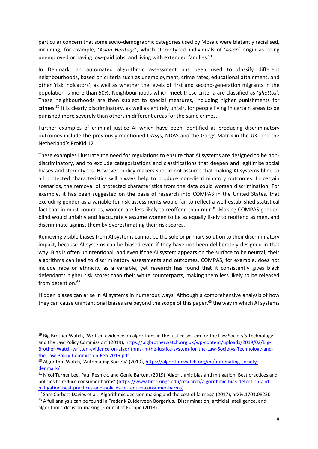particular concern that some socio-demographic categories used by Mosaic were blatantly racialised, including, for example, '*Asian Heritage*', which stereotyped individuals of '*Asian*' origin as being unemployed or having low-paid jobs, and living with extended families.<sup>59</sup>

In Denmark, an automated algorithmic assessment has been used to classify different neighbourhoods, based on criteria such as unemployment, crime rates, educational attainment, and other 'risk indicators', as well as whether the levels of first and second-generation migrants in the population is more than 50%. Neighbourhoods which meet these criteria are classified as '*ghettos*'. These neighbourhoods are then subject to special measures, including higher punishments for crimes.<sup>60</sup> It is clearly discriminatory, as well as entirely unfair, for people living in certain areas to be punished more severely than others in different areas for the same crimes.

Further examples of criminal justice AI which have been identified as producing discriminatory outcomes include the previously mentioned OASys, NDAS and the Gangs Matrix in the UK, and the Netherland's ProKid 12.

These examples illustrate the need for regulations to ensure that AI systems are designed to be nondiscriminatory, and to exclude categorisations and classifications that deepen and legitimise social biases and stereotypes. However, policy makers should not assume that making AI systems blind to all protected characteristics will always help to produce non-discriminatory outcomes. In certain scenarios, the removal of protected characteristics from the data could worsen discrimination. For example, it has been suggested on the basis of research into COMPAS in the United States, that excluding gender as a variable for risk assessments would fail to reflect a well-established statistical fact that in most countries, women are less likely to reoffend than men.<sup>61</sup> Making COMPAS genderblind would unfairly and inaccurately assume women to be as equally likely to reoffend as men, and discriminate against them by overestimating their risk scores.

Removing visible biases from AI systems cannot be the sole or primary solution to their discriminatory impact, because AI systems can be biased even if they have not been deliberately designed in that way. Bias is often unintentional, and even if the AI system appears on the surface to be neutral, their algorithms can lead to discriminatory assessments and outcomes. COMPAS, for example, does not include race or ethnicity as a variable, yet research has found that it consistently gives black defendants higher risk scores than their white counterparts, making them less likely to be released from detention.<sup>62</sup>

Hidden biases can arise in AI systems in numerous ways. Although a comprehensive analysis of how they can cause unintentional biases are beyond the scope of this paper,<sup>63</sup> the way in which AI systems

<sup>&</sup>lt;sup>59</sup> Big Brother Watch, 'Written evidence on algorithms in the justice system for the Law Society's Technology and the Law Policy Commission' (2019), [https://bigbrotherwatch.org.uk/wp-content/uploads/2019/02/Big-](https://bigbrotherwatch.org.uk/wp-content/uploads/2019/02/Big-Brother-Watch-written-evidence-on-algorithms-in-the-justice-system-for-the-Law-Societys-Technology-and-the-Law-Policy-Commission-Feb-2019.pdf)[Brother-Watch-written-evidence-on-algorithms-in-the-justice-system-for-the-Law-Societys-Technology-and](https://bigbrotherwatch.org.uk/wp-content/uploads/2019/02/Big-Brother-Watch-written-evidence-on-algorithms-in-the-justice-system-for-the-Law-Societys-Technology-and-the-Law-Policy-Commission-Feb-2019.pdf)[the-Law-Policy-Commission-Feb-2019.pdf](https://bigbrotherwatch.org.uk/wp-content/uploads/2019/02/Big-Brother-Watch-written-evidence-on-algorithms-in-the-justice-system-for-the-Law-Societys-Technology-and-the-Law-Policy-Commission-Feb-2019.pdf)

<sup>&</sup>lt;sup>60</sup> Algorithm Watch, 'Automating Society' (2019), [https://algorithmwatch.org/en/automating-society](https://algorithmwatch.org/en/automating-society-denmark/)[denmark/](https://algorithmwatch.org/en/automating-society-denmark/)

<sup>&</sup>lt;sup>61</sup> Nicol Turner Lee, Paul Resnick, and Genie Barton, (2019) 'Algorithmic bias and mitigation: Best practices and policies to reduce consumer harms' ([https://www.brookings.edu/research/algorithmic-bias-detection-and](https://www.brookings.edu/research/algorithmic-bias-detection-and-mitigation-best-practices-and-policies-to-reduce-consumer-harms/))[mitigation-best-practices-and-policies-to-reduce-consumer-harms\)](https://www.brookings.edu/research/algorithmic-bias-detection-and-mitigation-best-practices-and-policies-to-reduce-consumer-harms/))

<sup>62</sup> Sam Corbett-Davies et al. 'Algorithmic decision making and the cost of fairness' (2017), arXiv:1701.08230 <sup>63</sup> A full analysis can be found in Frederik Zuiderveen Borgerius, 'Discrimination, artificial intelligence, and algorithmic decision-making', Council of Europe (2018)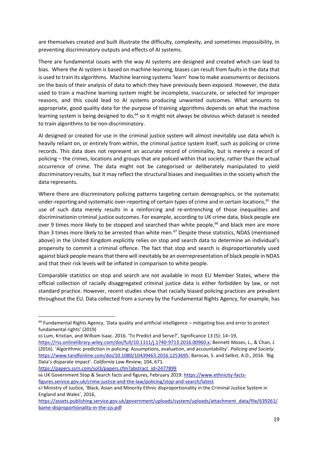are themselves created and built illustrate the difficulty, complexity, and sometimes impossibility, in preventing discriminatory outputs and effects of AI systems.

There are fundamental issues with the way AI systems are designed and created which can lead to bias. Where the AI system is based on machine-learning, biases can result from faults in the data that is used to train its algorithms. Machine learning systems 'learn' how to make assessments or decisions on the basis of their analysis of data to which they have previously been exposed. However, the data used to train a machine learning system might be incomplete, inaccurate, or selected for improper reasons, and this could lead to AI systems producing unwanted outcomes. What amounts to appropriate, good quality data for the purpose of training algorithms depends on what the machine learning system is being designed to do,<sup>64</sup> so it might not always be obvious which dataset is needed to train algorithms to be non-discriminatory.

AI designed or created for use in the criminal justice system will almost inevitably use data which is heavily reliant on, or entirely from within, the criminal justice system itself, such as policing or crime records. This data does not represent an accurate record of criminality, but is merely a record of policing – the crimes, locations and groups that are policed within that society, rather than the actual occurrence of crime. The data might not be categorised or deliberately manipulated to yield discriminatory results, but it may reflect the structural biases and inequalities in the society which the data represents.

Where there are discriminatory policing patterns targeting certain demographics, or the systematic under-reporting and systematic over-reporting of certain types of crime and in certain locations,<sup>65</sup> the use of such data merely results in a reinforcing and re-entrenching of those inequalities and discriminationin criminal justice outcomes. For example, according to UK crime data, black people are over 9 times more likely to be stopped and searched than white people,<sup>66</sup> and black men are more than 3 times more likely to be arrested than white men.<sup>67</sup> Despite these statistics, NDAS (mentioned above) in the United Kingdom explicitly relies on stop and search data to determine an individual's propensity to commit a criminal offence. The fact that stop and search is disproportionately used against black people means that there will inevitably be an overrepresentation of black people in NDAS and that their risk levels will be inflated in comparison to white people.

Comparable statistics on stop and search are not available in most EU Member States, where the official collection of racially disaggregated criminal justice data is either forbidden by law, or not standard practice. However, recent studies show that racially biased policing practices are prevalent throughout the EU. Data collected from a survey by the Fundamental Rights Agency, for example, has

[https://papers.ssrn.com/sol3/papers.cfm?abstract\\_id=2477899](https://papers.ssrn.com/sol3/papers.cfm?abstract_id=2477899)

<sup>&</sup>lt;sup>64</sup> Fundamental Rights Agency, 'Data quality and artificial intelligence – mitigating bias and error to protect fundamental rights' (2019)

<sup>65</sup> Lum, Kristian, and William Isaac. 2016. 'To Predict and Serve?', Significance 13 (5): 14–19,

[https://rss.onlinelibrary.wiley.com/doi/full/10.1111/j.1740-9713.2016.00960.x;](https://rss.onlinelibrary.wiley.com/doi/full/10.1111/j.1740-9713.2016.00960.x) Bennett Moses, L., & Chan, J. (2016). 'Algorithmic prediction in policing: Assumptions, evaluation, and accountability'. *Policing and Society*. <https://www.tandfonline.com/doi/10.1080/10439463.2016.1253695>; Barocas, S. and Selbst, A.D., 2016. 'Big Data's disparate impact'. *California Law Review*, 104, 671.

<sup>66</sup> UK Government Stop & Search facts and figures, February 2019[: https://www.ethnicity-facts](https://www.ethnicity-facts-figures.service.gov.uk/crime-justice-and-the-law/policing/stop-and-search/latest)[figures.service.gov.uk/crime-justice-and-the-law/policing/stop-and-search/latest](https://www.ethnicity-facts-figures.service.gov.uk/crime-justice-and-the-law/policing/stop-and-search/latest)

<sup>67</sup> Ministry of Justice, 'Black, Asian and Minority Ethnic disproportionality in the Criminal Justice System in England and Wales', 2016,

[https://assets.publishing.service.gov.uk/government/uploads/system/uploads/attachment\\_data/file/639261/](https://assets.publishing.service.gov.uk/government/uploads/system/uploads/attachment_data/file/639261/bame-disproportionality-in-the-cjs.pdf) [bame-disproportionality-in-the-cjs.pdf](https://assets.publishing.service.gov.uk/government/uploads/system/uploads/attachment_data/file/639261/bame-disproportionality-in-the-cjs.pdf)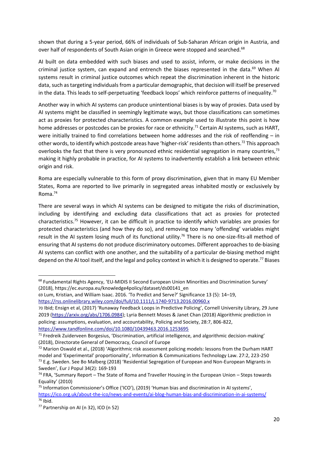shown that during a 5-year period, 66% of individuals of Sub-Saharan African origin in Austria, and over half of respondents of South Asian origin in Greece were stopped and searched.<sup>68</sup>

AI built on data embedded with such biases and used to assist, inform, or make decisions in the criminal justice system, can expand and entrench the biases represented in the data. $69$  When AI systems result in criminal justice outcomes which repeat the discrimination inherent in the historic data, such as targeting individuals from a particular demographic, that decision will itself be preserved in the data. This leads to self-perpetuating 'feedback loops' which reinforce patterns of inequality.<sup>70</sup>

Another way in which AI systems can produce unintentional biases is by way of proxies. Data used by AI systems might be classified in seemingly legitimate ways, but those classifications can sometimes act as proxies for protected characteristics. A common example used to illustrate this point is how home addresses or postcodes can be proxies for race or ethnicity.<sup>71</sup> Certain AI systems, such as HART, were initially trained to find correlations between home addresses and the risk of reoffending – in other words, to identify which postcode areas have 'higher-risk' residents than others.<sup>72</sup> This approach overlooks the fact that there is very pronounced ethnic residential segregation in many countries,<sup>73</sup> making it highly probable in practice, for AI systems to inadvertently establish a link between ethnic origin and risk.

Roma are especially vulnerable to this form of proxy discrimination, given that in many EU Member States, Roma are reported to live primarily in segregated areas inhabited mostly or exclusively by Roma.<sup>74</sup>

There are several ways in which AI systems can be designed to mitigate the risks of discrimination, including by identifying and excluding data classifications that act as proxies for protected characteristics.<sup>75</sup> However, it can be difficult in practice to identify which variables are proxies for protected characteristics (and how they do so), and removing too many 'offending' variables might result in the AI system losing much of its functional utility.<sup>76</sup> There is no one-size-fits-all method of ensuring that AI systems do not produce discriminatory outcomes. Different approaches to de-biasing AI systems can conflict with one another, and the suitability of a particular de-biasing method might depend on the AI tool itself, and the legal and policy context in which it is designed to operate.<sup>77</sup> Biases

<sup>&</sup>lt;sup>68</sup> Fundamental Rights Agency, 'EU-MIDIS II Second European Union Minorities and Discrimination Survey' (2018), https://ec.europa.eu/knowledge4policy/dataset/ds00141\_en

<sup>69</sup> Lum, Kristian, and William Isaac. 2016. 'To Predict and Serve?' Significance 13 (5): 14–19, <https://rss.onlinelibrary.wiley.com/doi/full/10.1111/j.1740-9713.2016.00960.x>

<sup>70</sup> Ibid; Ensign et al, (2017) 'Runaway Feedback Loops in Predictive Policing', Cornell University Library, 29 June 2019 [\(https://arxiv.org/abs/1706.0984\)](https://arxiv.org/abs/1706.0984); Lyria Bennett Moses & Janet Chan (2018) Algorithmic prediction in policing: assumptions, evaluation, and accountability, Policing and Society, 28:7, 806-822,

<https://www.tandfonline.com/doi/10.1080/10439463.2016.1253695>

<sup>71</sup> Fredreik Zuiderveen Borgesius, 'Discrimination, artificial intelligence, and algorithmic decision-making' (2018), Directorate General of Democracy, Council of Europe

 $72$  Marion Oswald et al., (2018) 'Algorithmic risk assessment policing models: lessons from the Durham HART model and 'Experimental' proportionality', Information & Communications Technology Law. 27:2, 223-250 <sup>73</sup> E.g. Sweden. See Bo Malberg (2018) 'Residential Segregation of European and Non-European Migrants in Sweden', Eur J Popul 34(2): 169-193

 $74$  FRA, 'Summary Report – The State of Roma and Traveller Housing in the European Union – Steps towards Equality' (2010)

<sup>&</sup>lt;sup>75</sup> Information Commissioner's Office ('ICO'), (2019) 'Human bias and discrimination in AI systems', <https://ico.org.uk/about-the-ico/news-and-events/ai-blog-human-bias-and-discrimination-in-ai-systems/> <sup>76</sup> Ibid.

<sup>77</sup> Partnership on AI (n 32), ICO (n 52)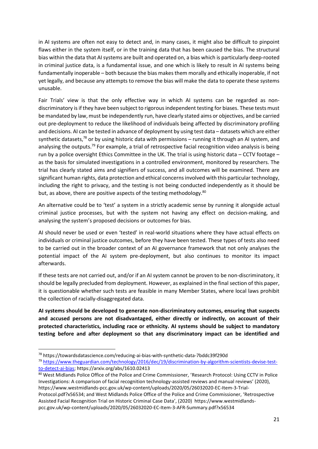in AI systems are often not easy to detect and, in many cases, it might also be difficult to pinpoint flaws either in the system itself, or in the training data that has been caused the bias. The structural bias within the data that AI systems are built and operated on, a bias which is particularly deep-rooted in criminal justice data, is a fundamental issue, and one which is likely to result in AI systems being fundamentally inoperable – both because the bias makes them morally and ethically inoperable, if not yet legally, and because any attempts to remove the bias will make the data to operate these systems unusable.

Fair Trials' view is that the only effective way in which AI systems can be regarded as nondiscriminatory is if they have been subject to rigorous independent testing for biases. These tests must be mandated by law, must be independently run, have clearly stated aims or objectives, and be carried out pre-deployment to reduce the likelihood of individuals being affected by discriminatory profiling and decisions. AI can be tested in advance of deployment by using test data – datasets which are either synthetic datasets,<sup>78</sup> or by using historic data with permissions - running it through an AI system, and analysing the outputs.<sup>79</sup> For example, a trial of retrospective facial recognition video analysis is being run by a police oversight Ethics Committee in the UK. The trial is using historic data – CCTV footage – as the basis for simulated investigations in a controlled environment, monitored by researchers. The trial has clearly stated aims and signifiers of success, and all outcomes will be examined. There are significant human rights, data protection and ethical concerns involved with this particular technology, including the right to privacy, and the testing is not being conducted independently as it should be but, as above, there are positive aspects of the testing methodology.<sup>80</sup>

An alternative could be to 'test' a system in a strictly academic sense by running it alongside actual criminal justice processes, but with the system not having any effect on decision-making, and analysing the system's proposed decisions or outcomes for bias.

AI should never be used or even 'tested' in real-world situations where they have actual effects on individuals or criminal justice outcomes, before they have been tested. These types of tests also need to be carried out in the broader context of an AI governance framework that not only analyses the potential impact of the AI system pre-deployment, but also continues to monitor its impact afterwards.

If these tests are not carried out, and/or if an AI system cannot be proven to be non-discriminatory, it should be legally precluded from deployment. However, as explained in the final section of this paper, it is questionable whether such tests are feasible in many Member States, where local laws prohibit the collection of racially-disaggregated data.

**AI systems should be developed to generate non-discriminatory outcomes, ensuring that suspects and accused persons are not disadvantaged, either directly or indirectly, on account of their protected characteristics, including race or ethnicity. AI systems should be subject to mandatory testing before and after deployment so that any discriminatory impact can be identified and** 

<sup>78</sup> https://towardsdatascience.com/reducing-ai-bias-with-synthetic-data-7bddc39f290d

<sup>79</sup> [https://www.theguardian.com/technology/2016/dec/19/discrimination-by-algorithm-scientists-devise-test](https://www.theguardian.com/technology/2016/dec/19/discrimination-by-algorithm-scientists-devise-test-to-detect-ai-bias)[to-detect-ai-bias;](https://www.theguardian.com/technology/2016/dec/19/discrimination-by-algorithm-scientists-devise-test-to-detect-ai-bias) https://arxiv.org/abs/1610.02413

<sup>80</sup> West Midlands Police Office of the Police and Crime Commissioner, 'Research Protocol: Using CCTV in Police Investigations: A comparison of facial recognition technology-assisted reviews and manual reviews' (2020), https://www.westmidlands-pcc.gov.uk/wp-content/uploads/2020/05/26032020-EC-Item-3-Trial-Protocol.pdf?x56534; and West Midlands Police Office of the Police and Crime Commissioner, 'Retrospective Assisted Facial Recognition Trial on Historic Criminal Case Data', (2020) https://www.westmidlandspcc.gov.uk/wp-content/uploads/2020/05/26032020-EC-Item-3-AFR-Summary.pdf?x56534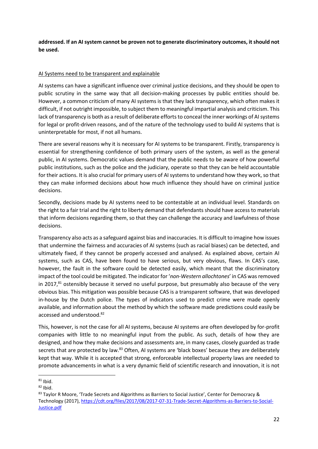**addressed. If an AI system cannot be proven not to generate discriminatory outcomes, it should not be used.**

# AI Systems need to be transparent and explainable

AI systems can have a significant influence over criminal justice decisions, and they should be open to public scrutiny in the same way that all decision-making processes by public entities should be. However, a common criticism of many AI systems is that they lack transparency, which often makes it difficult, if not outright impossible, to subject them to meaningful impartial analysis and criticism. This lack of transparency is both as a result of deliberate efforts to conceal the inner workings of AI systems for legal or profit-driven reasons, and of the nature of the technology used to build AI systems that is uninterpretable for most, if not all humans.

There are several reasons why it is necessary for AI systems to be transparent. Firstly, transparency is essential for strengthening confidence of both primary users of the system, as well as the general public, in AI systems. Democratic values demand that the public needs to be aware of how powerful public institutions, such as the police and the judiciary, operate so that they can be held accountable for their actions. It is also crucial for primary users of AI systems to understand how they work, so that they can make informed decisions about how much influence they should have on criminal justice decisions.

Secondly, decisions made by AI systems need to be contestable at an individual level. Standards on the right to a fair trial and the right to liberty demand that defendants should have access to materials that inform decisions regarding them, so that they can challenge the accuracy and lawfulness of those decisions.

Transparency also acts as a safeguard against bias and inaccuracies. It is difficult to imagine how issues that undermine the fairness and accuracies of AI systems (such as racial biases) can be detected, and ultimately fixed, if they cannot be properly accessed and analysed. As explained above, certain AI systems, such as CAS, have been found to have serious, but very obvious, flaws. In CAS's case, however, the fault in the software could be detected easily, which meant that the discriminatory impact of the tool could be mitigated. The indicator for '*non-Western allochtones*' in CAS was removed in 2017. $81$  ostensibly because it served no useful purpose, but presumably also because of the very obvious bias. This mitigation was possible because CAS is a transparent software, that was developed in-house by the Dutch police. The types of indicators used to predict crime were made openly available, and information about the method by which the software made predictions could easily be accessed and understood.<sup>82</sup>

This, however, is not the case for all AI systems, because AI systems are often developed by for-profit companies with little to no meaningful input from the public. As such, details of how they are designed, and how they make decisions and assessments are, in many cases, closely guarded as trade secrets that are protected by law.<sup>83</sup> Often, AI systems are 'black boxes' because they are deliberately kept that way. While it is accepted that strong, enforceable intellectual property laws are needed to promote advancements in what is a very dynamic field of scientific research and innovation, it is not

 $81$  Ibid.

 $82$  Ibid.

<sup>83</sup> Taylor R Moore, 'Trade Secrets and Algorithms as Barriers to Social Justice', Center for Democracy & Technology (2017), [https://cdt.org/files/2017/08/2017-07-31-Trade-Secret-Algorithms-as-Barriers-to-Social-](https://cdt.org/files/2017/08/2017-07-31-Trade-Secret-Algorithms-as-Barriers-to-Social-Justice.pdf)[Justice.pdf](https://cdt.org/files/2017/08/2017-07-31-Trade-Secret-Algorithms-as-Barriers-to-Social-Justice.pdf)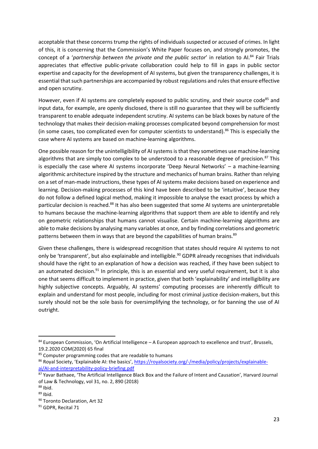acceptable that these concerns trump the rights of individuals suspected or accused of crimes. In light of this, it is concerning that the Commission's White Paper focuses on, and strongly promotes, the concept of a '*partnership between the private and the public sector*' in relation to AI.<sup>84</sup> Fair Trials appreciates that effective public-private collaboration could help to fill in gaps in public sector expertise and capacity for the development of AI systems, but given the transparency challenges, it is essential that such partnerships are accompanied by robust regulations and rules that ensure effective and open scrutiny.

However, even if AI systems are completely exposed to public scrutiny, and their source code<sup>85</sup> and input data, for example, are openly disclosed, there is still no guarantee that they will be sufficiently transparent to enable adequate independent scrutiny. AI systems can be black boxes by nature of the technology that makes their decision-making processes complicated beyond comprehension for most (in some cases, too complicated even for computer scientists to understand).<sup>86</sup> This is especially the case where AI systems are based on machine-learning algorithms.

One possible reason for the unintelligibility of AI systems is that they sometimes use machine-learning algorithms that are simply too complex to be understood to a reasonable degree of precision.<sup>87</sup> This is especially the case where AI systems incorporate 'Deep Neural Networks' – a machine-learning algorithmic architecture inspired by the structure and mechanics of human brains. Rather than relying on a set of man-made instructions, these types of AI systems make decisions based on experience and learning. Decision-making processes of this kind have been described to be 'intuitive', because they do not follow a defined logical method, making it impossible to analyse the exact process by which a particular decision is reached.<sup>88</sup> It has also been suggested that some AI systems are uninterpretable to humans because the machine-learning algorithms that support them are able to identify and rely on geometric relationships that humans cannot visualise. Certain machine-learning algorithms are able to make decisions by analysing many variables at once, and by finding correlations and geometric patterns between them in ways that are beyond the capabilities of human brains.<sup>89</sup>

Given these challenges, there is widespread recognition that states should require AI systems to not only be 'transparent', but also explainable and intelligible.<sup>90</sup> GDPR already recognises that individuals should have the right to an explanation of how a decision was reached, if they have been subject to an automated decision. $91$  In principle, this is an essential and very useful requirement, but it is also one that seems difficult to implement in practice, given that both 'explainability' and intelligibility are highly subjective concepts. Arguably, AI systems' computing processes are inherently difficult to explain and understand for most people, including for most criminal justice decision-makers, but this surely should not be the sole basis for oversimplifying the technology, or for banning the use of AI outright.

<sup>84</sup> European Commission, 'On Artificial Intelligence - A European approach to excellence and trust', Brussels, 19.2.2020 COM(2020) 65 final

<sup>&</sup>lt;sup>85</sup> Computer programming codes that are readable to humans

<sup>86</sup> Royal Society, 'Explainable AI: the basics', [https://royalsociety.org/-/media/policy/projects/explainable](https://royalsociety.org/-/media/policy/projects/explainable-ai/AI-and-interpretability-policy-briefing.pdf)[ai/AI-and-interpretability-policy-briefing.pdf](https://royalsociety.org/-/media/policy/projects/explainable-ai/AI-and-interpretability-policy-briefing.pdf)

<sup>87</sup> Yavar Bathaee, 'The Artificial Intelligence Black Box and the Failure of Intent and Causation', Harvard Journal of Law & Technology, vol 31, no. 2, 890 (2018)

 $88$  Ibid.

 $89$  Ibid.

<sup>90</sup> Toronto Declaration, Art 32

<sup>&</sup>lt;sup>91</sup> GDPR, Recital 71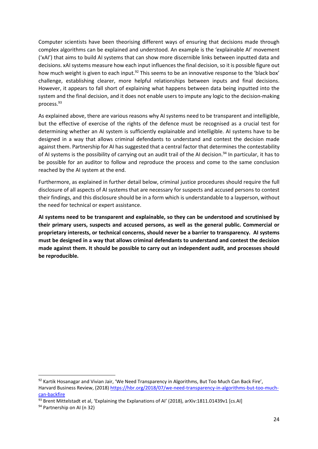Computer scientists have been theorising different ways of ensuring that decisions made through complex algorithms can be explained and understood. An example is the 'explainable AI' movement ('xAI') that aims to build AI systems that can show more discernible links between inputted data and decisions. xAI systems measure how each input influences the final decision, so it is possible figure out how much weight is given to each input.<sup>92</sup> This seems to be an innovative response to the 'black box' challenge, establishing clearer, more helpful relationships between inputs and final decisions. However, it appears to fall short of explaining what happens between data being inputted into the system and the final decision, and it does not enable users to impute any logic to the decision-making process.<sup>93</sup>

As explained above, there are various reasons why AI systems need to be transparent and intelligible, but the effective of exercise of the rights of the defence must be recognised as a crucial test for determining whether an AI system is sufficiently explainable and intelligible. AI systems have to be designed in a way that allows criminal defendants to understand and contest the decision made against them. Partnership for AI has suggested that a central factor that determines the contestability of AI systems is the possibility of carrying out an audit trail of the AI decision.<sup>94</sup> In particular, it has to be possible for an auditor to follow and reproduce the process and come to the same conclusion reached by the AI system at the end.

Furthermore, as explained in further detail below, criminal justice procedures should require the full disclosure of all aspects of AI systems that are necessary for suspects and accused persons to contest their findings, and this disclosure should be in a form which is understandable to a layperson, without the need for technical or expert assistance.

**AI systems need to be transparent and explainable, so they can be understood and scrutinised by their primary users, suspects and accused persons, as well as the general public. Commercial or proprietary interests, or technical concerns, should never be a barrier to transparency. AI systems must be designed in a way that allows criminal defendants to understand and contest the decision made against them. It should be possible to carry out an independent audit, and processes should be reproducible.** 

<sup>92</sup> Kartik Hosanagar and Vivian Jair, 'We Need Transparency in Algorithms, But Too Much Can Back Fire', Harvard Business Review, (2018[\) https://hbr.org/2018/07/we-need-transparency-in-algorithms-but-too-much](https://hbr.org/2018/07/we-need-transparency-in-algorithms-but-too-much-can-backfire)[can-backfire](https://hbr.org/2018/07/we-need-transparency-in-algorithms-but-too-much-can-backfire)

<sup>93</sup> Brent Mittelstadt et al, 'Explaining the Explanations of AI' (2018), arXiv:1811.01439v1 [cs.Al]

<sup>94</sup> Partnership on AI (n 32)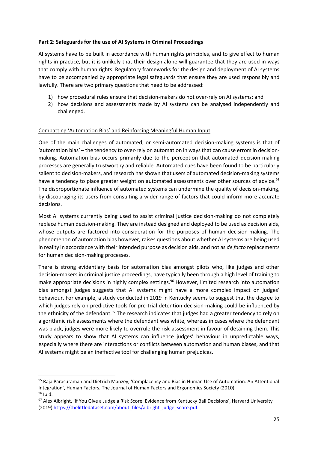# **Part 2: Safeguards for the use of AI Systems in Criminal Proceedings**

AI systems have to be built in accordance with human rights principles, and to give effect to human rights in practice, but it is unlikely that their design alone will guarantee that they are used in ways that comply with human rights. Regulatory frameworks for the design and deployment of AI systems have to be accompanied by appropriate legal safeguards that ensure they are used responsibly and lawfully. There are two primary questions that need to be addressed:

- 1) how procedural rules ensure that decision-makers do not over-rely on AI systems; and
- 2) how decisions and assessments made by AI systems can be analysed independently and challenged.

# Combatting 'Automation Bias' and Reinforcing Meaningful Human Input

One of the main challenges of automated, or semi-automated decision-making systems is that of 'automation bias' – the tendency to over-rely on automation in ways that can cause errors in decisionmaking. Automation bias occurs primarily due to the perception that automated decision-making processes are generally trustworthy and reliable. Automated cues have been found to be particularly salient to decision-makers, and research has shown that users of automated decision-making systems have a tendency to place greater weight on automated assessments over other sources of advice.<sup>95</sup> The disproportionate influence of automated systems can undermine the quality of decision-making, by discouraging its users from consulting a wider range of factors that could inform more accurate decisions.

Most AI systems currently being used to assist criminal justice decision-making do not completely replace human decision-making. They are instead designed and deployed to be used as decision aids, whose outputs are factored into consideration for the purposes of human decision-making. The phenomenon of automation bias however, raises questions about whether AI systems are being used in reality in accordance with their intended purpose as decision aids, and not as *de facto* replacements for human decision-making processes.

There is strong evidentiary basis for automation bias amongst pilots who, like judges and other decision-makers in criminal justice proceedings, have typically been through a high level of training to make appropriate decisions in highly complex settings.<sup>96</sup> However, limited research into automation bias amongst judges suggests that AI systems might have a more complex impact on judges' behaviour. For example, a study conducted in 2019 in Kentucky seems to suggest that the degree to which judges rely on predictive tools for pre-trial detention decision-making could be influenced by the ethnicity of the defendant.<sup>97</sup> The research indicates that judges had a greater tendency to rely on algorithmic risk assessments where the defendant was white, whereas in cases where the defendant was black, judges were more likely to overrule the risk-assessment in favour of detaining them. This study appears to show that AI systems can influence judges' behaviour in unpredictable ways, especially where there are interactions or conflicts between automation and human biases, and that AI systems might be an ineffective tool for challenging human prejudices.

<sup>95</sup> Raja Parasuraman and Dietrich Manzey, 'Complacency and Bias in Human Use of Automation: An Attentional Integration', Human Factors, The Journal of Human Factors and Ergonomics Society (2010) <sup>96</sup> Ibid.

<sup>97</sup> Alex Albright, 'If You Give a Judge a Risk Score: Evidence from Kentucky Bail Decisions', Harvard University (2019[\) https://thelittledataset.com/about\\_files/albright\\_judge\\_score.pdf](https://thelittledataset.com/about_files/albright_judge_score.pdf)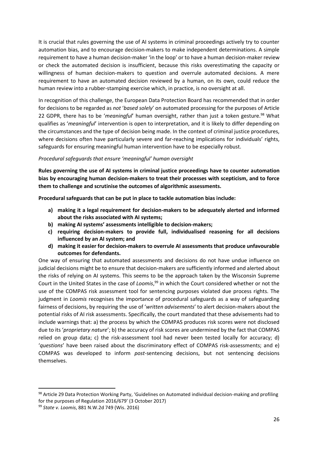It is crucial that rules governing the use of AI systems in criminal proceedings actively try to counter automation bias, and to encourage decision-makers to make independent determinations. A simple requirement to have a human decision-maker 'in the loop' or to have a human decision-maker review or check the automated decision is insufficient, because this risks overestimating the capacity or willingness of human decision-makers to question and overrule automated decisions. A mere requirement to have an automated decision reviewed by a human, on its own, could reduce the human review into a rubber-stamping exercise which, in practice, is no oversight at all.

In recognition of this challenge, the European Data Protection Board has recommended that in order for decisions to be regarded as *not* '*based solely*' on automated processing for the purposes of Article 22 GDPR, there has to be '*meaningful*' human oversight, rather than just a token gesture.<sup>98</sup> What qualifies as '*meaningful*' intervention is open to interpretation, and it is likely to differ depending on the circumstances and the type of decision being made. In the context of criminal justice procedures, where decisions often have particularly severe and far-reaching implications for individuals' rights, safeguards for ensuring meaningful human intervention have to be especially robust.

## *Procedural safeguards that ensure 'meaningful' human oversight*

**Rules governing the use of AI systems in criminal justice proceedings have to counter automation bias by encouraging human decision-makers to treat their processes with scepticism, and to force them to challenge and scrutinise the outcomes of algorithmic assessments.** 

**Procedural safeguards that can be put in place to tackle automation bias include:**

- **a) making it a legal requirement for decision-makers to be adequately alerted and informed about the risks associated with AI systems;**
- **b) making AI systems' assessments intelligible to decision-makers;**
- **c) requiring decision-makers to provide full, individualised reasoning for all decisions influenced by an AI system; and**
- **d) making it easier for decision-makers to overrule AI assessments that produce unfavourable outcomes for defendants.**

One way of ensuring that automated assessments and decisions do not have undue influence on judicial decisions might be to ensure that decision-makers are sufficiently informed and alerted about the risks of relying on AI systems. This seems to be the approach taken by the Wisconsin Supreme Court in the United States in the case of *Loomis*, <sup>99</sup> in which the Court considered whether or not the use of the COMPAS risk assessment tool for sentencing purposes violated due process rights. The judgment in *Loomis* recognises the importance of procedural safeguards as a way of safeguarding fairness of decisions, by requiring the use of '*written advisements*' to alert decision-makers about the potential risks of AI risk assessments. Specifically, the court mandated that these advisements had to include warnings that: a) the process by which the COMPAS produces risk scores were not disclosed due to its '*proprietary nature*'; b) the accuracy of risk scores are undermined by the fact that COMPAS relied on group data; c) the risk-assessment tool had never been tested locally for accuracy; d) '*questions*' have been raised about the discriminatory effect of COMPAS risk-assessments; and e) COMPAS was developed to inform *post*-sentencing decisions, but not sentencing decisions themselves.

<sup>98</sup> Article 29 Data Protection Working Party, 'Guidelines on Automated individual decision-making and profiling for the purposes of Regulation 2016/679' (3 October 2017)

<sup>99</sup> *State v. Loomis*, 881 N.W.2d 749 (Wis. 2016)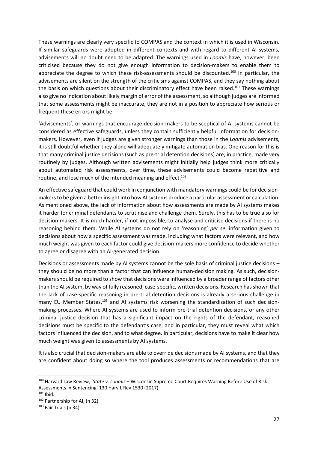These warnings are clearly very specific to COMPAS and the context in which it is used in Wisconsin. If similar safeguards were adopted in different contexts and with regard to different AI systems, advisements will no doubt need to be adapted. The warnings used in *Loomis* have, however, been criticised because they do not give enough information to decision-makers to enable them to appreciate the degree to which these risk-assessments should be discounted.<sup>100</sup> In particular, the advisements are silent on the strength of the criticisms against COMPAS, and they say nothing about the basis on which questions about their discriminatory effect have been raised.<sup>101</sup> These warnings also give no indication about likely margin of error of the assessment, so although judges are informed that some assessments might be inaccurate, they are not in a position to appreciate how serious or frequent these errors might be.

'Advisements', or warnings that encourage decision-makers to be sceptical of AI systems cannot be considered as effective safeguards, unless they contain sufficiently helpful information for decisionmakers. However, even if judges are given stronger warnings than those in the *Loomis* advisements, it is still doubtful whether they alone will adequately mitigate automation bias. One reason for this is that many criminal justice decisions (such as pre-trial detention decisions) are, in practice, made very routinely by judges. Although written advisements might initially help judges think more critically about automated risk assessments, over time, these advisements could become repetitive and routine, and lose much of the intended meaning and effect.<sup>102</sup>

An effective safeguard that could work in conjunction with mandatory warnings could be for decisionmakers to be given a better insight into how AI systems produce a particular assessment or calculation. As mentioned above, the lack of information about how assessments are made by AI systems makes it harder for criminal defendants to scrutinise and challenge them. Surely, this has to be true also for decision-makers. It is much harder, if not impossible, to analyse and criticise decisions if there is no reasoning behind them. While AI systems do not rely on 'reasoning' *per se*, information given to decisions about how a specific assessment was made, including what factors were relevant, and how much weight was given to each factor could give decision-makers more confidence to decide whether to agree or disagree with an AI-generated decision.

Decisions or assessments made by AI systems cannot be the sole basis of criminal justice decisions – they should be no more than a factor that can influence human-decision making. As such, decisionmakers should be required to show that decisions were influenced by a broader range of factors other than the AI system, by way of fully reasoned, case-specific, written decisions. Research has shown that the lack of case-specific reasoning in pre-trial detention decisions is already a serious challenge in many EU Member States,<sup>103</sup> and AI systems risk worsening the standardisation of such decisionmaking processes. Where AI systems are used to inform pre-trial detention decisions, or any other criminal justice decision that has a significant impact on the rights of the defendant, reasoned decisions must be specific to the defendant's case, and in particular, they must reveal what which factors influenced the decision, and to what degree. In particular, decisions have to make it clear how much weight was given to assessments by AI systems.

It is also crucial that decision-makers are able to override decisions made by AI systems, and that they are confident about doing so where the tool produces assessments or recommendations that are

<sup>100</sup> Harvard Law Review, '*State v. Loomis* – Wisconsin Supreme Court Requires Warning Before Use of Risk Assessments in Sentencing' 130 Harv L Rev 1530 (2017)

 $101$  Ibid.

<sup>102</sup> Partnership for AI, (n 32)

<sup>103</sup> Fair Trials (n 34)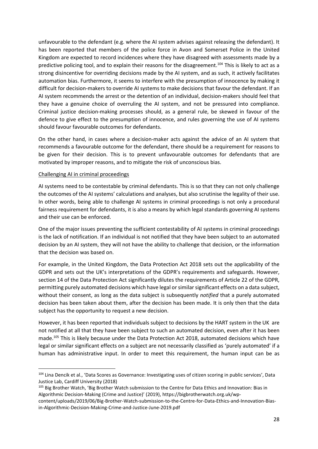unfavourable to the defendant (e.g. where the AI system advises against releasing the defendant). It has been reported that members of the police force in Avon and Somerset Police in the United Kingdom are expected to record incidences where they have disagreed with assessments made by a predictive policing tool, and to explain their reasons for the disagreement.<sup>104</sup> This is likely to act as a strong disincentive for overriding decisions made by the AI system, and as such, it actively facilitates automation bias. Furthermore, it seems to interfere with the presumption of innocence by making it difficult for decision-makers to override AI systems to make decisions that favour the defendant. If an AI system recommends the arrest or the detention of an individual, decision-makers should feel that they have a genuine choice of overruling the AI system, and not be pressured into compliance. Criminal justice decision-making processes should, as a general rule, be skewed in favour of the defence to give effect to the presumption of innocence, and rules governing the use of AI systems should favour favourable outcomes for defendants.

On the other hand, in cases where a decision-maker acts against the advice of an AI system that recommends a favourable outcome for the defendant, there should be a requirement for reasons to be given for their decision. This is to prevent unfavourable outcomes for defendants that are motivated by improper reasons, and to mitigate the risk of unconscious bias.

# Challenging AI in criminal proceedings

AI systems need to be contestable by criminal defendants. This is so that they can not only challenge the outcomes of the AI systems' calculations and analyses, but also scrutinise the legality of their use. In other words, being able to challenge AI systems in criminal proceedings is not only a procedural fairness requirement for defendants, it is also a means by which legal standards governing AI systems and their use can be enforced.

One of the major issues preventing the sufficient contestability of AI systems in criminal proceedings is the lack of notification. If an individual is not notified that they have been subject to an automated decision by an AI system, they will not have the ability to challenge that decision, or the information that the decision was based on.

For example, in the United Kingdom, the Data Protection Act 2018 sets out the applicability of the GDPR and sets out the UK's interpretations of the GDPR's requirements and safeguards. However, section 14 of the Data Protection Act significantly dilutes the requirements of Article 22 of the GDPR, permitting purely automated decisions which have legal or similar significant effects on a data subject, without their consent, as long as the data subject is subsequently *notified* that a purely automated decision has been taken about them, after the decision has been made. It is only then that the data subject has the opportunity to request a new decision.

However, it has been reported that individuals subject to decisions by the HART system in the UK are not notified at all that they have been subject to such an automated decision, even after it has been made. <sup>105</sup> This is likely because under the Data Protection Act 2018, automated decisions which have legal or similar significant effects on a subject are not necessarily classified as 'purely automated' if a human has administrative input. In order to meet this requirement, the human input can be as

<sup>104</sup> Lina Dencik et al., 'Data Scores as Governance: Investigating uses of citizen scoring in public services', Data Justice Lab, Cardiff University (2018)

<sup>&</sup>lt;sup>105</sup> Big Brother Watch, 'Big Brother Watch submission to the Centre for Data Ethics and Innovation: Bias in Algorithmic Decision-Making (Crime and Justice)' (2019), https://bigbrotherwatch.org.uk/wp-

content/uploads/2019/06/Big-Brother-Watch-submission-to-the-Centre-for-Data-Ethics-and-Innovation-Biasin-Algorithmic-Decision-Making-Crime-and-Justice-June-2019.pdf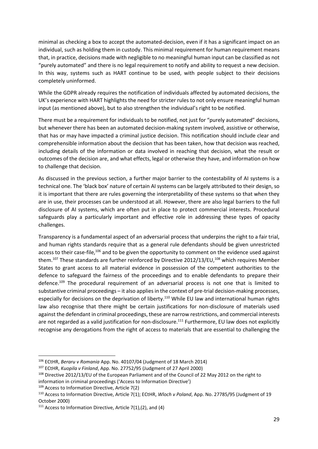minimal as checking a box to accept the automated-decision, even if it has a significant impact on an individual, such as holding them in custody. This minimal requirement for human requirement means that, in practice, decisions made with negligible to no meaningful human input can be classified as not "purely automated" and there is no legal requirement to notify and ability to request a new decision. In this way, systems such as HART continue to be used, with people subject to their decisions completely uninformed.

While the GDPR already requires the notification of individuals affected by automated decisions, the UK's experience with HART highlights the need for stricter rules to not only ensure meaningful human input (as mentioned above), but to also strengthen the individual's right to be notified.

There must be a requirement for individuals to be notified, not just for "purely automated" decisions, but whenever there has been an automated decision-making system involved, assistive or otherwise, that has or may have impacted a criminal justice decision. This notification should include clear and comprehensible information about the decision that has been taken, how that decision was reached, including details of the information or data involved in reaching that decision, what the result or outcomes of the decision are, and what effects, legal or otherwise they have, and information on how to challenge that decision.

As discussed in the previous section, a further major barrier to the contestability of AI systems is a technical one. The 'black box' nature of certain AI systems can be largely attributed to their design, so it is important that there are rules governing the interpretability of these systems so that when they are in use, their processes can be understood at all. However, there are also legal barriers to the full disclosure of AI systems, which are often put in place to protect commercial interests. Procedural safeguards play a particularly important and effective role in addressing these types of opacity challenges.

Transparency is a fundamental aspect of an adversarial process that underpins the right to a fair trial, and human rights standards require that as a general rule defendants should be given unrestricted access to their case-file,<sup>106</sup> and to be given the opportunity to comment on the evidence used against them.<sup>107</sup> These standards are further reinforced by Directive 2012/13/EU,<sup>108</sup> which requires Member States to grant access to all material evidence in possession of the competent authorities to the defence to safeguard the fairness of the proceedings and to enable defendants to prepare their defence.<sup>109</sup> The procedural requirement of an adversarial process is not one that is limited to substantive criminal proceedings – it also applies in the context of pre-trial decision-making processes, especially for decisions on the deprivation of liberty.<sup>110</sup> While EU law and international human rights law also recognise that there might be certain justifications for non-disclosure of materials used against the defendant in criminal proceedings, these are narrow restrictions, and commercial interests are not regarded as a valid justification for non-disclosure.<sup>111</sup> Furthermore, EU law does not explicitly recognise any derogations from the right of access to materials that are essential to challenging the

<sup>106</sup> ECtHR, *Beraru v Romania* App. No. 40107/04 (Judgment of 18 March 2014)

<sup>107</sup> ECtHR, *Kuopila v Finland*, App. No. 27752/95 (Judgment of 27 April 2000)

<sup>108</sup> Directive 2012/13/EU of the European Parliament and of the Council of 22 May 2012 on the right to information in criminal proceedings ('Access to Information Directive')

<sup>&</sup>lt;sup>109</sup> Access to Information Directive, Article 7(2)

<sup>110</sup> Access to Information Directive, Article 7(1); ECtHR, *Wloch v Poland*, App. No. 27785/95 (Judgment of 19 October 2000)

<sup>111</sup> Access to Information Directive, Article 7(1),(2), and (4)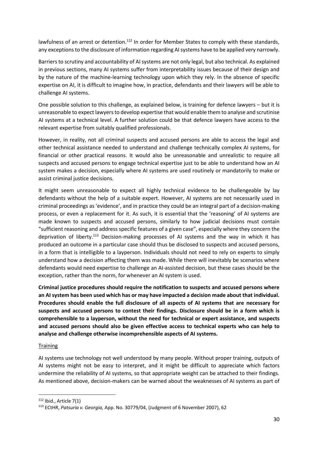lawfulness of an arrest or detention.<sup>112</sup> In order for Member States to comply with these standards, any exceptions to the disclosure of information regarding AI systems have to be applied very narrowly.

Barriers to scrutiny and accountability of AI systems are not only legal, but also technical. As explained in previous sections, many AI systems suffer from interpretability issues because of their design and by the nature of the machine-learning technology upon which they rely. In the absence of specific expertise on AI, it is difficult to imagine how, in practice, defendants and their lawyers will be able to challenge AI systems.

One possible solution to this challenge, as explained below, is training for defence lawyers – but it is unreasonable to expect lawyers to develop expertise that would enable them to analyse and scrutinise AI systems at a technical level. A further solution could be that defence lawyers have access to the relevant expertise from suitably qualified professionals.

However, in reality, not all criminal suspects and accused persons are able to access the legal and other technical assistance needed to understand and challenge technically complex AI systems, for financial or other practical reasons. It would also be unreasonable and unrealistic to require all suspects and accused persons to engage technical expertise just to be able to understand how an AI system makes a decision, especially where AI systems are used routinely or mandatorily to make or assist criminal justice decisions.

It might seem unreasonable to expect all highly technical evidence to be challengeable by lay defendants without the help of a suitable expert. However, AI systems are not necessarily used in criminal proceedings as 'evidence', and in practice they could be an integral part of a decision-making process, or even a replacement for it. As such, it is essential that the 'reasoning' of AI systems are made known to suspects and accused persons, similarly to how judicial decisions must contain "sufficient reasoning and address specific features of a given case", especially where they concern the deprivation of liberty.<sup>113</sup> Decision-making processes of AI systems and the way in which it has produced an outcome in a particular case should thus be disclosed to suspects and accused persons, in a form that is intelligible to a layperson. Individuals should not need to rely on experts to simply understand how a decision affecting them was made. While there will inevitably be scenarios where defendants would need expertise to challenge an AI-assisted decision, but these cases should be the exception, rather than the norm, for whenever an AI system is used.

**Criminal justice procedures should require the notification to suspects and accused persons where an AI system has been used which has or may have impacted a decision made about that individual. Procedures should enable the full disclosure of all aspects of AI systems that are necessary for suspects and accused persons to contest their findings. Disclosure should be in a form which is comprehensible to a layperson, without the need for technical or expert assistance, and suspects and accused persons should also be given effective access to technical experts who can help to analyse and challenge otherwise incomprehensible aspects of AI systems.**

## **Training**

AI systems use technology not well understood by many people. Without proper training, outputs of AI systems might not be easy to interpret, and it might be difficult to appreciate which factors undermine the reliability of AI systems, so that appropriate weight can be attached to their findings. As mentioned above, decision-makers can be warned about the weaknesses of AI systems as part of

<sup>112</sup> Ibid., Article 7(1)

<sup>113</sup> ECtHR, *Patsuria v. Georgia,* App. No. 30779/04, (Judgment of 6 November 2007), 62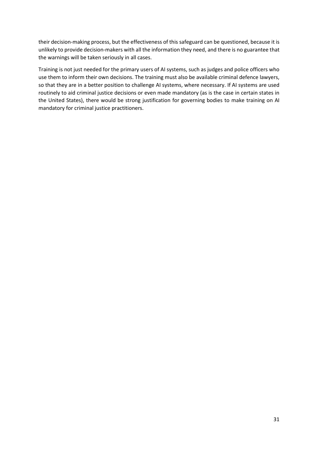their decision-making process, but the effectiveness of this safeguard can be questioned, because it is unlikely to provide decision-makers with all the information they need, and there is no guarantee that the warnings will be taken seriously in all cases.

Training is not just needed for the primary users of AI systems, such as judges and police officers who use them to inform their own decisions. The training must also be available criminal defence lawyers, so that they are in a better position to challenge AI systems, where necessary. If AI systems are used routinely to aid criminal justice decisions or even made mandatory (as is the case in certain states in the United States), there would be strong justification for governing bodies to make training on AI mandatory for criminal justice practitioners.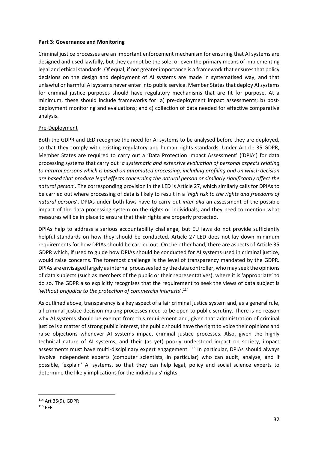#### **Part 3: Governance and Monitoring**

Criminal justice processes are an important enforcement mechanism for ensuring that AI systems are designed and used lawfully, but they cannot be the sole, or even the primary means of implementing legal and ethical standards. Of equal, if not greater importance is a framework that ensures that policy decisions on the design and deployment of AI systems are made in systematised way, and that unlawful or harmful AI systems never enter into public service. Member States that deploy AI systems for criminal justice purposes should have regulatory mechanisms that are fit for purpose. At a minimum, these should include frameworks for: a) pre-deployment impact assessments; b) postdeployment monitoring and evaluations; and c) collection of data needed for effective comparative analysis.

## Pre-Deployment

Both the GDPR and LED recognise the need for AI systems to be analysed before they are deployed, so that they comply with existing regulatory and human rights standards. Under Article 35 GDPR, Member States are required to carry out a 'Data Protection Impact Assessment' ('DPIA') for data processing systems that carry out '*a systematic and extensive evaluation of personal aspects relating to natural persons which is based on automated processing, including profiling and on which decision are based that produce legal effects concerning the natural person or similarly significantly affect the natural person*'. The corresponding provision in the LED is Article 27, which similarly calls for DPIAs to be carried out where processing of data is likely to result in a '*high risk to the rights and freedoms of natural persons*'. DPIAs under both laws have to carry out *inter alia* an assessment of the possible impact of the data processing system on the rights or individuals, and they need to mention what measures will be in place to ensure that their rights are properly protected.

DPIAs help to address a serious accountability challenge, but EU laws do not provide sufficiently helpful standards on how they should be conducted. Article 27 LED does not lay down minimum requirements for how DPIAs should be carried out. On the other hand, there are aspects of Article 35 GDPR which, if used to guide how DPIAs should be conducted for AI systems used in criminal justice, would raise concerns. The foremost challenge is the level of transparency mandated by the GDPR. DPIAs are envisaged largely as internal processes led by the data controller, who may seek the opinions of data subjects (such as members of the public or their representatives), where it is 'appropriate' to do so. The GDPR also explicitly recognises that the requirement to seek the views of data subject is '*without prejudice to the protection of commercial interests*'.<sup>114</sup>

As outlined above, transparency is a key aspect of a fair criminal justice system and, as a general rule, all criminal justice decision-making processes need to be open to public scrutiny. There is no reason why AI systems should be exempt from this requirement and, given that administration of criminal justice is a matter of strong public interest, the public should have the right to voice their opinions and raise objections whenever AI systems impact criminal justice processes. Also, given the highly technical nature of AI systems, and their (as yet) poorly understood impact on society, impact assessments must have multi-disciplinary expert engagement.<sup>115</sup> In particular, DPIAs should always involve independent experts (computer scientists, in particular) who can audit, analyse, and if possible, 'explain' AI systems, so that they can help legal, policy and social science experts to determine the likely implications for the individuals' rights.

<sup>114</sup> Art 35(9), GDPR

<sup>115</sup> EFF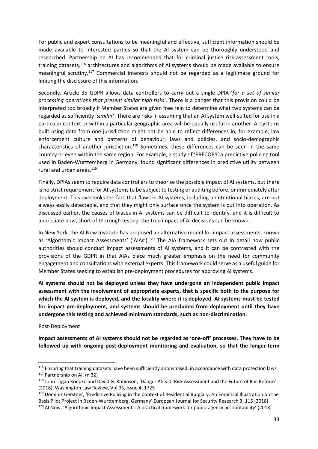For public and expert consultations to be meaningful and effective, sufficient information should be made available to interested parties so that the AI system can be thoroughly understood and researched. Partnership on AI has recommended that for criminal justice risk-assessment tools, training datasets,<sup>116</sup> architectures and algorithms of AI systems should be made available to ensure meaningful scrutiny.<sup>117</sup> Commercial interests should not be regarded as a legitimate ground for limiting the disclosure of this information.

Secondly, Article 35 GDPR allows data controllers to carry out a single DPIA '*for a set of similar processing operations that present similar high risks*'. There is a danger that this provision could be interpreted too broadly if Member States are given free rein to determine what two systems can be regarded as sufficiently '*similar*'. There are risks in assuming that an AI system well-suited for use in a particular context or within a particular geographic area will be equally useful in another. AI systems built using data from one jurisdiction might not be able to reflect differences in, for example, law enforcement culture and patterns of behaviour, laws and policies, and socio-demographic characteristics of another jurisdiction.<sup>118</sup> Sometimes, these differences can be seen in the same country or even within the same region. For example, a study of 'PRECOBS' a predictive policing tool used in Baden-Wurttemberg in Germany, found significant differences in predictive utility between rural and urban areas.<sup>119</sup>

Finally, DPIAs seem to require data controllers to theorise the possible impact of AI systems, but there is no strict requirement for AI systems to be subject to testing or auditing before, or immediately after deployment. This overlooks the fact that flaws in AI systems, including unintentional biases, are not always easily detectable, and that they might only surface once the system is put into operation. As discussed earlier, the causes of biases in AI systems can be difficult to identify, and it is difficult to appreciate how, short of thorough testing, the true impact of AI decisions can be known.

In New York, the AI Now Institute has proposed an alternative model for impact assessments, known as 'Algorithmic Impact Assessments' ('AIAs').<sup>120</sup> The AIA framework sets out in detail how public authorities should conduct impact assessments of AI systems, and it can be contrasted with the provisions of the GDPR in that AIAs place much greater emphasis on the need for community engagement and consultations with external experts. This framework could serve as a useful guide for Member States seeking to establish pre-deployment procedures for approving AI systems.

**AI systems should not be deployed unless they have undergone an independent public impact assessment with the involvement of appropriate experts, that is specific both to the purpose for which the AI system is deployed, and the locality where it is deployed. AI systems must be tested for impact pre-deployment, and systems should be precluded from deployment until they have undergone this testing and achieved minimum standards, such as non-discrimination.**

## Post-Deployment

**Impact assessments of AI systems should not be regarded as 'one-off' processes. They have to be followed up with ongoing post-deployment monitoring and evaluation, so that the longer-term** 

<sup>&</sup>lt;sup>116</sup> Ensuring that training datasets have been sufficiently anonymised, in accordance with data protection laws <sup>117</sup> Partnership on AI, (n 32)

<sup>118</sup> John Logan Koepke and David G. Robinson, 'Danger Ahead: Risk Assessment and the Future of Bail Reform' (2018), Washington Law Review, Vol 93, Issue 4, 1725

<sup>119</sup> Dominik Gerstner, 'Predictive Policing in the Context of Residential Burglary: An Empirical Illustration on the Basis Pilot Project in Baden-Wurttemberg, Germany' European Journal for Security Research 3, 115 (2018)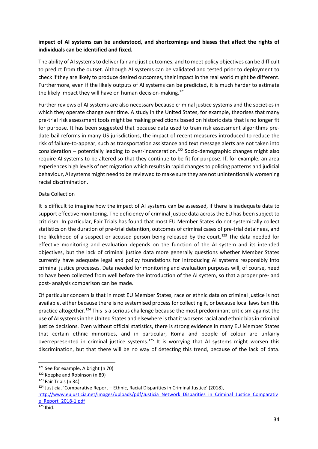# **impact of AI systems can be understood, and shortcomings and biases that affect the rights of individuals can be identified and fixed.**

The ability of AI systems to deliver fair and just outcomes, and to meet policy objectives can be difficult to predict from the outset. Although AI systems can be validated and tested prior to deployment to check if they are likely to produce desired outcomes, their impact in the real world might be different. Furthermore, even if the likely outputs of AI systems can be predicted, it is much harder to estimate the likely impact they will have on human decision-making.<sup>121</sup>

Further reviews of AI systems are also necessary because criminal justice systems and the societies in which they operate change over time. A study in the United States, for example, theorises that many pre-trial risk assessment tools might be making predictions based on historic data that is no longer fit for purpose. It has been suggested that because data used to train risk assessment algorithms predate bail reforms in many US jurisdictions, the impact of recent measures introduced to reduce the risk of failure-to-appear, such as transportation assistance and text message alerts are not taken into consideration – potentially leading to over-incarceration.<sup>122</sup> Socio-demographic changes might also require AI systems to be altered so that they continue to be fit for purpose. If, for example, an area experiences high levels of net migration which results in rapid changes to policing patterns and judicial behaviour, AI systems might need to be reviewed to make sure they are not unintentionally worsening racial discrimination.

# Data Collection

It is difficult to imagine how the impact of AI systems can be assessed, if there is inadequate data to support effective monitoring. The deficiency of criminal justice data across the EU has been subject to criticism. In particular, Fair Trials has found that most EU Member States do not systemically collect statistics on the duration of pre-trial detention, outcomes of criminal cases of pre-trial detainees, and the likelihood of a suspect or accused person being released by the court.<sup>123</sup> The data needed for effective monitoring and evaluation depends on the function of the AI system and its intended objectives, but the lack of criminal justice data more generally questions whether Member States currently have adequate legal and policy foundations for introducing AI systems responsibly into criminal justice processes. Data needed for monitoring and evaluation purposes will, of course, need to have been collected from well before the introduction of the AI system, so that a proper pre- and post- analysis comparison can be made.

Of particular concern is that in most EU Member States, race or ethnic data on criminal justice is not available, either because there is no systemised process for collecting it, or because local laws ban this practice altogether.<sup>124</sup> This is a serious challenge because the most predominant criticism against the use of AI systems in the United States and elsewhere is that it worsens racial and ethnic bias in criminal justice decisions. Even without official statistics, there is strong evidence in many EU Member States that certain ethnic minorities, and in particular, Roma and people of colour are unfairly overrepresented in criminal justice systems.<sup>125</sup> It is worrying that AI systems might worsen this discrimination, but that there will be no way of detecting this trend, because of the lack of data.

<sup>&</sup>lt;sup>121</sup> See for example, Albright (n 70)

<sup>122</sup> Koepke and Robinson (n 89)

<sup>123</sup> Fair Trials (n 34)

 $124$  Justicia, 'Comparative Report – Ethnic, Racial Disparities in Criminal Justice' (2018),

[http://www.eujusticia.net/images/uploads/pdf/Justicia\\_Network\\_Disparities\\_in\\_Criminal\\_Justice\\_Comparativ](http://www.eujusticia.net/images/uploads/pdf/Justicia_Network_Disparities_in_Criminal_Justice_Comparative_Report_2018-1.pdf) [e\\_Report\\_2018-1.pdf](http://www.eujusticia.net/images/uploads/pdf/Justicia_Network_Disparities_in_Criminal_Justice_Comparative_Report_2018-1.pdf)

 $125$  Ibid.